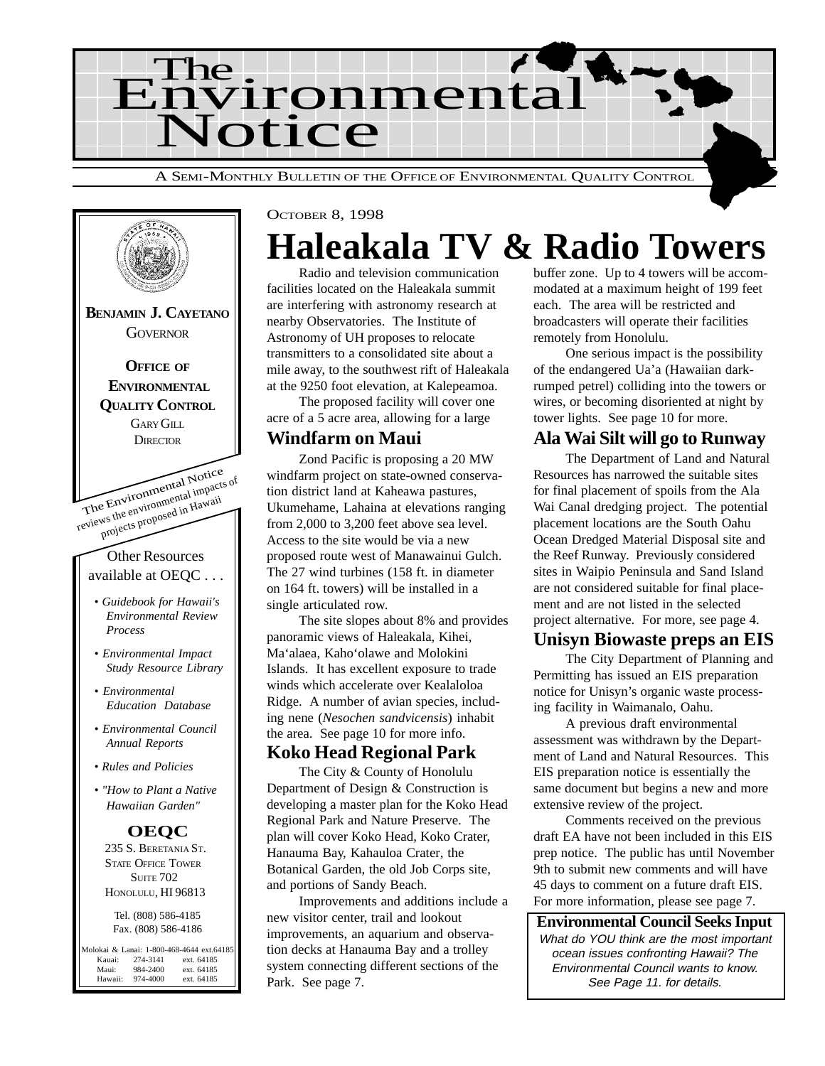



OCTOBER 8, 1998

## **Haleakala TV & Radio Towers**

Radio and television communication facilities located on the Haleakala summit are interfering with astronomy research at nearby Observatories. The Institute of Astronomy of UH proposes to relocate transmitters to a consolidated site about a mile away, to the southwest rift of Haleakala at the 9250 foot elevation, at Kalepeamoa.

The proposed facility will cover one acre of a 5 acre area, allowing for a large

#### **Windfarm on Maui**

Zond Pacific is proposing a 20 MW windfarm project on state-owned conservation district land at Kaheawa pastures, Ukumehame, Lahaina at elevations ranging from 2,000 to 3,200 feet above sea level. Access to the site would be via a new proposed route west of Manawainui Gulch. The 27 wind turbines (158 ft. in diameter on 164 ft. towers) will be installed in a single articulated row.

The site slopes about 8% and provides panoramic views of Haleakala, Kihei, Ma'alaea, Kaho'olawe and Molokini Islands. It has excellent exposure to trade winds which accelerate over Kealaloloa Ridge. A number of avian species, including nene (*Nesochen sandvicensis*) inhabit the area. See page 10 for more info.

#### **Koko Head Regional Park**

The City & County of Honolulu Department of Design & Construction is developing a master plan for the Koko Head Regional Park and Nature Preserve. The plan will cover Koko Head, Koko Crater, Hanauma Bay, Kahauloa Crater, the Botanical Garden, the old Job Corps site, and portions of Sandy Beach.

Improvements and additions include a new visitor center, trail and lookout improvements, an aquarium and observation decks at Hanauma Bay and a trolley system connecting different sections of the Park. See page 7.

buffer zone. Up to 4 towers will be accommodated at a maximum height of 199 feet each. The area will be restricted and broadcasters will operate their facilities remotely from Honolulu.

One serious impact is the possibility of the endangered Ua'a (Hawaiian darkrumped petrel) colliding into the towers or wires, or becoming disoriented at night by tower lights. See page 10 for more.

### **Ala Wai Silt will go to Runway**

The Department of Land and Natural Resources has narrowed the suitable sites for final placement of spoils from the Ala Wai Canal dredging project. The potential placement locations are the South Oahu Ocean Dredged Material Disposal site and the Reef Runway. Previously considered sites in Waipio Peninsula and Sand Island are not considered suitable for final placement and are not listed in the selected project alternative. For more, see page 4.

#### **Unisyn Biowaste preps an EIS**

The City Department of Planning and Permitting has issued an EIS preparation notice for Unisyn's organic waste processing facility in Waimanalo, Oahu.

A previous draft environmental assessment was withdrawn by the Department of Land and Natural Resources. This EIS preparation notice is essentially the same document but begins a new and more extensive review of the project.

Comments received on the previous draft EA have not been included in this EIS prep notice. The public has until November 9th to submit new comments and will have 45 days to comment on a future draft EIS. For more information, please see page 7.

**Environmental Council Seeks Input** What do YOU think are the most important ocean issues confronting Hawaii? The Environmental Council wants to know. See Page 11. for details.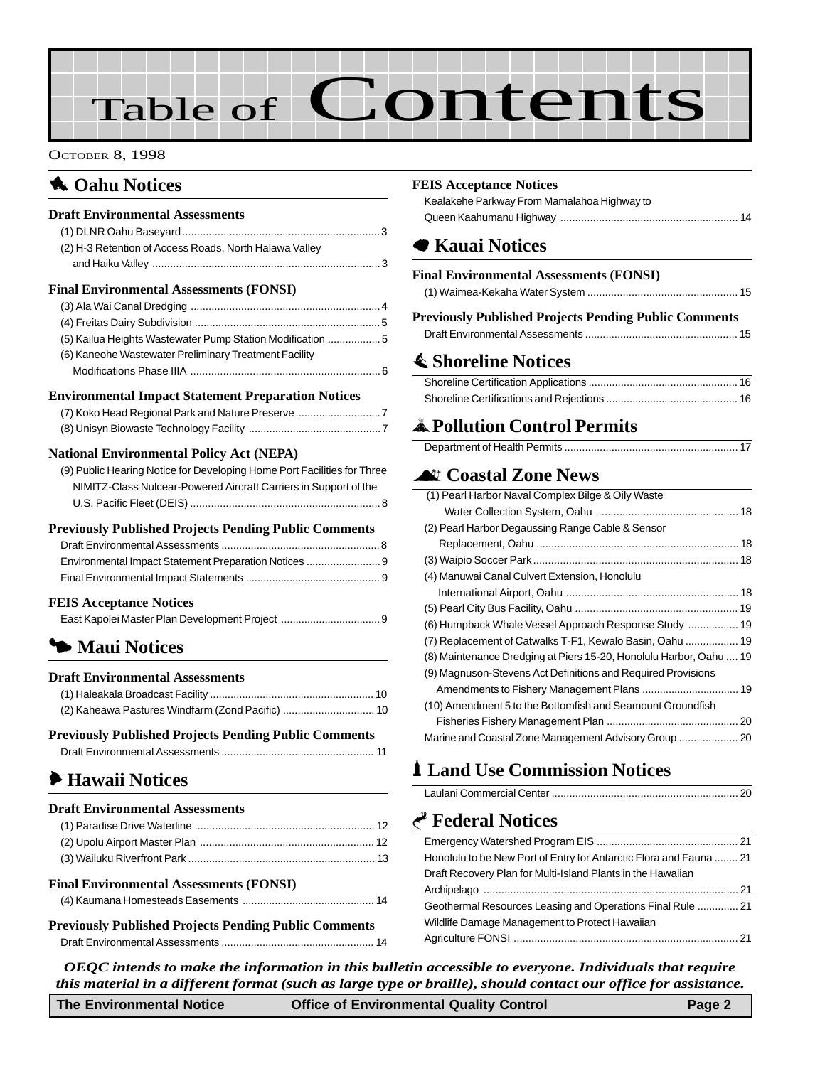# Table of Contents

#### OCTOBER 8, 1998

### **1** Oahu Notices

#### **Draft Environmental Assessments**

| (2) H-3 Retention of Access Roads, North Halawa Valley     |  |
|------------------------------------------------------------|--|
|                                                            |  |
| <b>Final Environmental Assessments (FONSI)</b>             |  |
|                                                            |  |
|                                                            |  |
| (5) Kailua Heights Wastewater Pump Station Modification  5 |  |
| (6) Kaneohe Wastewater Preliminary Treatment Facility      |  |
|                                                            |  |
|                                                            |  |

#### **Environmental Impact Statement Preparation Notices**

| (7) Koko Head Regional Park and Nature Preserve |  |
|-------------------------------------------------|--|
|                                                 |  |

#### **National Environmental Policy Act (NEPA)**

| (9) Public Hearing Notice for Developing Home Port Facilities for Three |
|-------------------------------------------------------------------------|
| NIMITZ-Class Nulcear-Powered Aircraft Carriers in Support of the        |
|                                                                         |

#### **Previously Published Projects Pending Public Comments**

#### **[FEIS Acceptance Notices](#page-8-0)**

## 3 **Maui Notices**

#### **Draft Environmental Assessments**

#### **Previously Published Projects Pending Public Comments** [Draft Environmental Assessments .................................................... 11](#page-10-0)

## 6 **Hawaii Notices**

#### **Draft Environmental Assessments**

| <b>Final Environmental Assessments (FONSI)</b> |  |
|------------------------------------------------|--|
|                                                |  |

```
Previously Published Projects Pending Public Comments
Draft Environmental Assessments .................................................... 14
```
#### **[FEIS Acceptance Notices](#page-13-0)**

| Kealakehe Parkway From Mamalahoa Highway to |  |
|---------------------------------------------|--|
|                                             |  |

## 7 **Kauai Notices**

| <b>Final Environmental Assessments (FONSI)</b> |  |
|------------------------------------------------|--|
|                                                |  |

#### **Previously Published Projects Pending Public Comments**

|  | --- |  |
|--|-----|--|
|  |     |  |
|  |     |  |

## s **Shoreline Notices**

## V**Pollution Control Permits**

## ^ **[Coastal Zone News](#page-17-0)**

| (1) Pearl Harbor Naval Complex Bilge & Oily Waste                  |  |
|--------------------------------------------------------------------|--|
|                                                                    |  |
| (2) Pearl Harbor Degaussing Range Cable & Sensor                   |  |
|                                                                    |  |
|                                                                    |  |
| (4) Manuwai Canal Culvert Extension, Honolulu                      |  |
|                                                                    |  |
|                                                                    |  |
| (6) Humpback Whale Vessel Approach Response Study  19              |  |
| (7) Replacement of Catwalks T-F1, Kewalo Basin, Oahu  19           |  |
| (8) Maintenance Dredging at Piers 15-20, Honolulu Harbor, Oahu  19 |  |
| (9) Magnuson-Stevens Act Definitions and Required Provisions       |  |
|                                                                    |  |
| (10) Amendment 5 to the Bottomfish and Seamount Groundfish         |  |
|                                                                    |  |
|                                                                    |  |

## **1 Land Use Commission Notices**

#### Laulani Commercial Center ............................................................... 20

### G **Federal Notices**

| Honolulu to be New Port of Entry for Antarctic Flora and Fauna  21 |
|--------------------------------------------------------------------|
| Draft Recovery Plan for Multi-Island Plants in the Hawaiian        |
|                                                                    |
| Geothermal Resources Leasing and Operations Final Rule  21         |
| Wildlife Damage Management to Protect Hawaiian                     |
|                                                                    |

*OEQC intends to make the information in this bulletin accessible to everyone. Individuals that require this material in a different format (such as large type or braille), should contact our office for assistance.*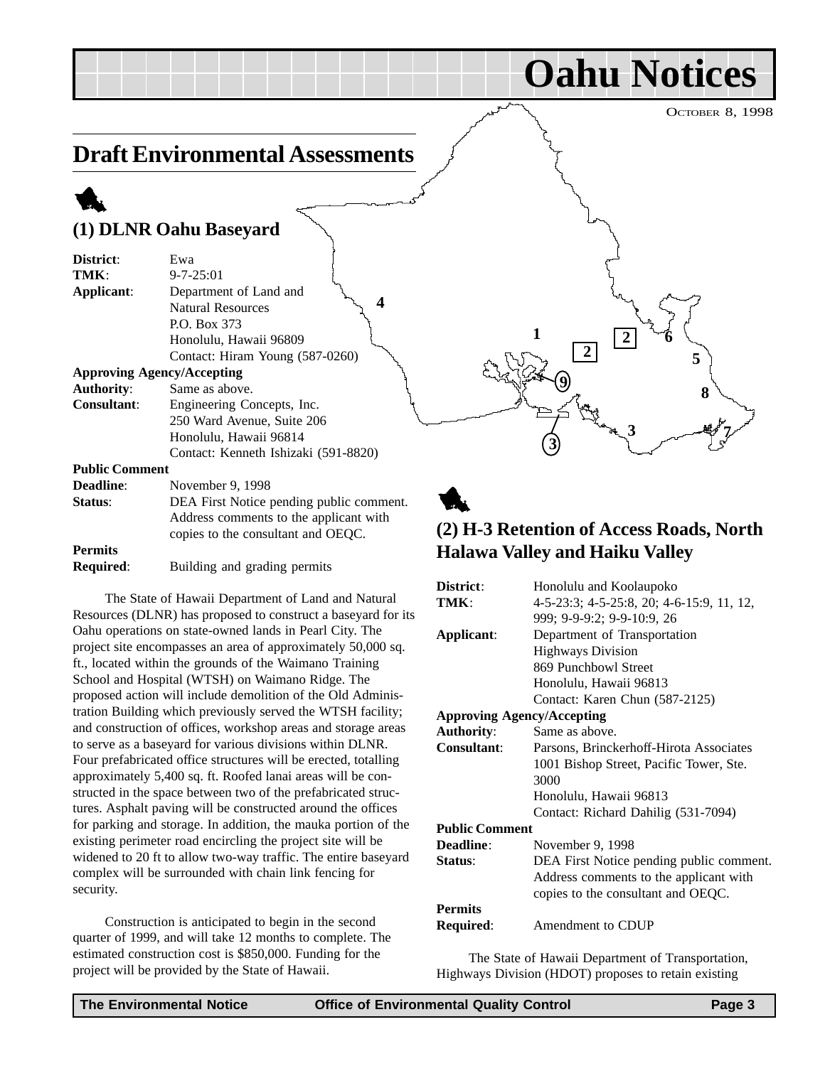OCTOBER 8, 1998

**Oahu Notices**

## <span id="page-2-0"></span>**Draft Environmental Assessments**

#### 1 **(1) DLNR Oahu Baseyard District**: Ewa **TMK**: 9-7-25:01 **Applicant**: Department of Land and Natural Resources P.O. Box 373 Honolulu, Hawaii 96809 Contact: Hiram Young (587-0260) **Approving Agency/Accepting Authority**: Same as above. **Consultant**: Engineering Concepts, Inc. 250 Ward Avenue, Suite 206 Honolulu, Hawaii 96814 Contact: Kenneth Ishizaki (591-8820) **Public Comment 1 2 3 4 5 6**  $\frac{9}{27}$  8 **2 3 7**

| <b>Deadline:</b> | November 9, 1998                         |
|------------------|------------------------------------------|
| Status:          | DEA First Notice pending public comment. |
|                  | Address comments to the applicant with   |
|                  | copies to the consultant and OEOC.       |
| <b>Permits</b>   |                                          |
|                  |                                          |

**Required**: Building and grading permits

The State of Hawaii Department of Land and Natural Resources (DLNR) has proposed to construct a baseyard for its Oahu operations on state-owned lands in Pearl City. The project site encompasses an area of approximately 50,000 sq. ft., located within the grounds of the Waimano Training School and Hospital (WTSH) on Waimano Ridge. The proposed action will include demolition of the Old Administration Building which previously served the WTSH facility; and construction of offices, workshop areas and storage areas to serve as a baseyard for various divisions within DLNR. Four prefabricated office structures will be erected, totalling approximately 5,400 sq. ft. Roofed lanai areas will be constructed in the space between two of the prefabricated structures. Asphalt paving will be constructed around the offices for parking and storage. In addition, the mauka portion of the existing perimeter road encircling the project site will be widened to 20 ft to allow two-way traffic. The entire baseyard complex will be surrounded with chain link fencing for security.

Construction is anticipated to begin in the second quarter of 1999, and will take 12 months to complete. The estimated construction cost is \$850,000. Funding for the project will be provided by the State of Hawaii.

## 1 **(2) H-3 Retention of Access Roads, North Halawa Valley and Haiku Valley**

| District:                         | Honolulu and Koolaupoko                   |
|-----------------------------------|-------------------------------------------|
| TMK:                              | 4-5-23:3; 4-5-25:8, 20; 4-6-15:9, 11, 12, |
|                                   | 999; 9-9-9:2; 9-9-10:9, 26                |
| Applicant:                        | Department of Transportation              |
|                                   | <b>Highways Division</b>                  |
|                                   | 869 Punchbowl Street                      |
|                                   | Honolulu, Hawaii 96813                    |
|                                   | Contact: Karen Chun (587-2125)            |
| <b>Approving Agency/Accepting</b> |                                           |
| <b>Authority:</b>                 | Same as above.                            |
| <b>Consultant:</b>                | Parsons, Brinckerhoff-Hirota Associates   |
|                                   | 1001 Bishop Street, Pacific Tower, Ste.   |
|                                   | 3000                                      |
|                                   | Honolulu, Hawaii 96813                    |
|                                   | Contact: Richard Dahilig (531-7094)       |
| <b>Public Comment</b>             |                                           |
| Deadline:                         | November 9, 1998                          |
| Status:                           | DEA First Notice pending public comment.  |
|                                   | Address comments to the applicant with    |
|                                   | copies to the consultant and OEQC.        |
| <b>Permits</b>                    |                                           |
| <b>Required:</b>                  | Amendment to CDUP                         |

The State of Hawaii Department of Transportation, Highways Division (HDOT) proposes to retain existing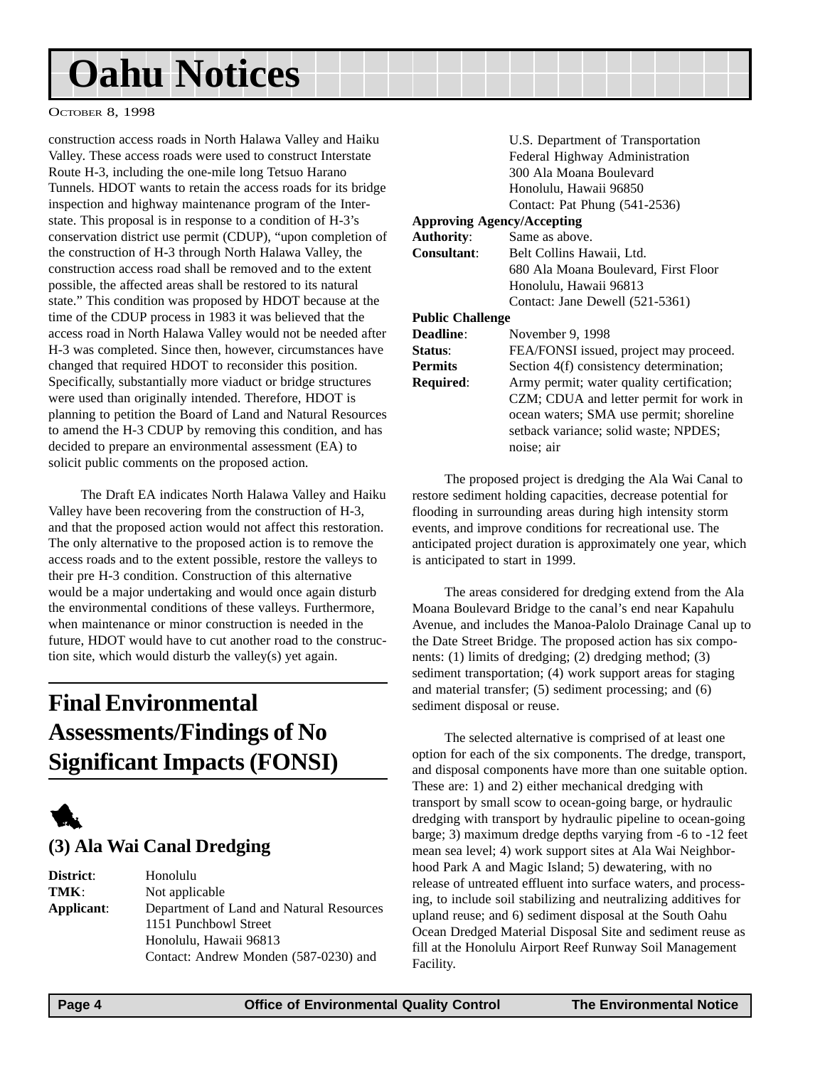#### <span id="page-3-0"></span>OCTOBER 8, 1998

construction access roads in North Halawa Valley and Haiku Valley. These access roads were used to construct Interstate Route H-3, including the one-mile long Tetsuo Harano Tunnels. HDOT wants to retain the access roads for its bridge inspection and highway maintenance program of the Interstate. This proposal is in response to a condition of H-3's conservation district use permit (CDUP), "upon completion of the construction of H-3 through North Halawa Valley, the construction access road shall be removed and to the extent possible, the affected areas shall be restored to its natural state." This condition was proposed by HDOT because at the time of the CDUP process in 1983 it was believed that the access road in North Halawa Valley would not be needed after H-3 was completed. Since then, however, circumstances have changed that required HDOT to reconsider this position. Specifically, substantially more viaduct or bridge structures were used than originally intended. Therefore, HDOT is planning to petition the Board of Land and Natural Resources to amend the H-3 CDUP by removing this condition, and has decided to prepare an environmental assessment (EA) to solicit public comments on the proposed action.

The Draft EA indicates North Halawa Valley and Haiku Valley have been recovering from the construction of H-3, and that the proposed action would not affect this restoration. The only alternative to the proposed action is to remove the access roads and to the extent possible, restore the valleys to their pre H-3 condition. Construction of this alternative would be a major undertaking and would once again disturb the environmental conditions of these valleys. Furthermore, when maintenance or minor construction is needed in the future, HDOT would have to cut another road to the construction site, which would disturb the valley(s) yet again.

## **Final Environmental Assessments/Findings of No Significant Impacts (FONSI)**



#### **(3) Ala Wai Canal Dredging**

**District**: Honolulu **TMK**: Not applicable **Applicant**: Department of Land and Natural Resources 1151 Punchbowl Street Honolulu, Hawaii 96813 Contact: Andrew Monden (587-0230) and

|                         | U.S. Department of Transportation         |
|-------------------------|-------------------------------------------|
|                         |                                           |
|                         | Federal Highway Administration            |
|                         | 300 Ala Moana Boulevard                   |
|                         | Honolulu, Hawaii 96850                    |
|                         | Contact: Pat Phung (541-2536)             |
|                         | <b>Approving Agency/Accepting</b>         |
| <b>Authority:</b>       | Same as above.                            |
| Consultant:             | Belt Collins Hawaii, Ltd.                 |
|                         | 680 Ala Moana Boulevard, First Floor      |
|                         | Honolulu, Hawaii 96813                    |
|                         | Contact: Jane Dewell (521-5361)           |
| <b>Public Challenge</b> |                                           |
| Deadline:               | November 9, 1998                          |
| Status:                 | FEA/FONSI issued, project may proceed.    |
| <b>Permits</b>          | Section 4(f) consistency determination;   |
| <b>Required:</b>        | Army permit; water quality certification; |
|                         | CZM; CDUA and letter permit for work in   |
|                         | ocean waters; SMA use permit; shoreline   |
|                         |                                           |
|                         | setback variance; solid waste; NPDES;     |
|                         | noise; air                                |
|                         |                                           |

The proposed project is dredging the Ala Wai Canal to restore sediment holding capacities, decrease potential for flooding in surrounding areas during high intensity storm events, and improve conditions for recreational use. The anticipated project duration is approximately one year, which is anticipated to start in 1999.

The areas considered for dredging extend from the Ala Moana Boulevard Bridge to the canal's end near Kapahulu Avenue, and includes the Manoa-Palolo Drainage Canal up to the Date Street Bridge. The proposed action has six components: (1) limits of dredging; (2) dredging method; (3) sediment transportation; (4) work support areas for staging and material transfer; (5) sediment processing; and (6) sediment disposal or reuse.

The selected alternative is comprised of at least one option for each of the six components. The dredge, transport, and disposal components have more than one suitable option. These are: 1) and 2) either mechanical dredging with transport by small scow to ocean-going barge, or hydraulic dredging with transport by hydraulic pipeline to ocean-going barge; 3) maximum dredge depths varying from -6 to -12 feet mean sea level; 4) work support sites at Ala Wai Neighborhood Park A and Magic Island; 5) dewatering, with no release of untreated effluent into surface waters, and processing, to include soil stabilizing and neutralizing additives for upland reuse; and 6) sediment disposal at the South Oahu Ocean Dredged Material Disposal Site and sediment reuse as fill at the Honolulu Airport Reef Runway Soil Management Facility.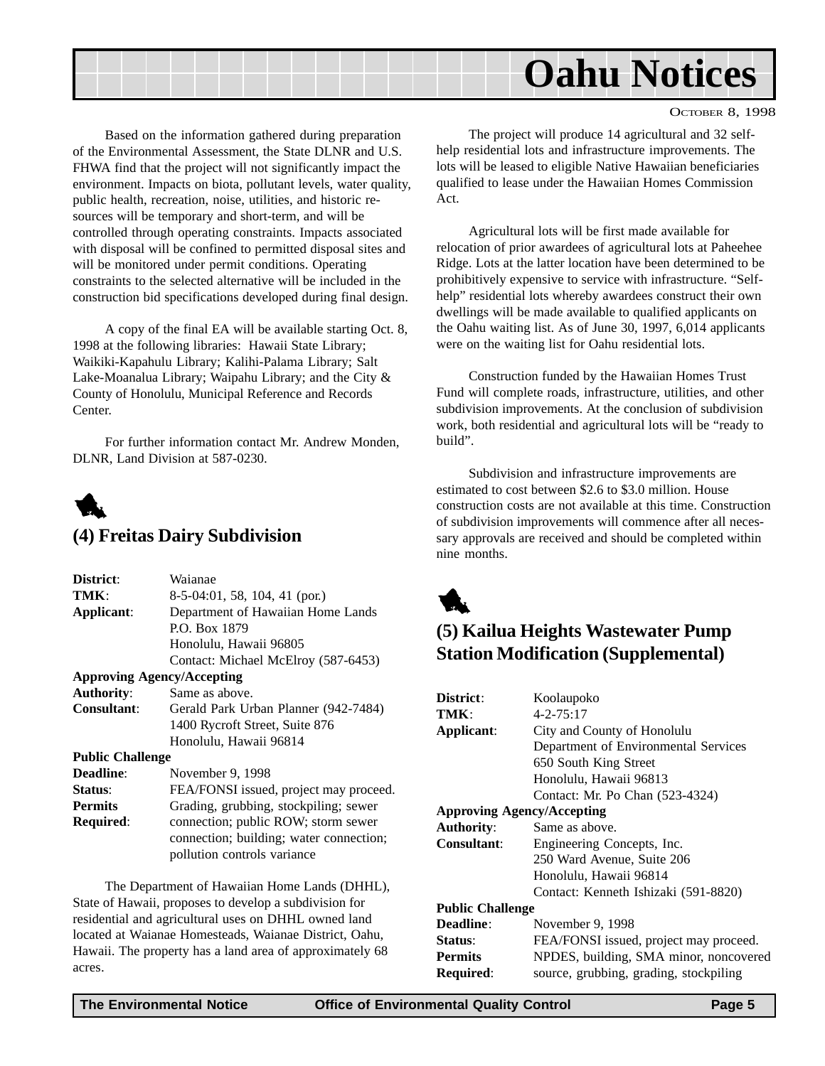<span id="page-4-0"></span>

OCTOBER 8, 1998

Based on the information gathered during preparation of the Environmental Assessment, the State DLNR and U.S. FHWA find that the project will not significantly impact the environment. Impacts on biota, pollutant levels, water quality, public health, recreation, noise, utilities, and historic resources will be temporary and short-term, and will be controlled through operating constraints. Impacts associated with disposal will be confined to permitted disposal sites and will be monitored under permit conditions. Operating constraints to the selected alternative will be included in the construction bid specifications developed during final design.

A copy of the final EA will be available starting Oct. 8, 1998 at the following libraries: Hawaii State Library; Waikiki-Kapahulu Library; Kalihi-Palama Library; Salt Lake-Moanalua Library; Waipahu Library; and the City & County of Honolulu, Municipal Reference and Records Center.

For further information contact Mr. Andrew Monden, DLNR, Land Division at 587-0230.



#### **(4) Freitas Dairy Subdivision**

| District:               | Waianae                                 |
|-------------------------|-----------------------------------------|
| TMK:                    | $8-5-04:01, 58, 104, 41$ (por.)         |
| Applicant:              | Department of Hawaiian Home Lands       |
|                         | P.O. Box 1879                           |
|                         | Honolulu, Hawaii 96805                  |
|                         | Contact: Michael McElroy (587-6453)     |
|                         | <b>Approving Agency/Accepting</b>       |
| <b>Authority:</b>       | Same as above.                          |
| Consultant:             | Gerald Park Urban Planner (942-7484)    |
|                         | 1400 Rycroft Street, Suite 876          |
|                         | Honolulu, Hawaii 96814                  |
| <b>Public Challenge</b> |                                         |
| <b>Deadline:</b>        | November 9, 1998                        |
| Status:                 | FEA/FONSI issued, project may proceed.  |
| <b>Permits</b>          | Grading, grubbing, stockpiling; sewer   |
| <b>Required:</b>        | connection; public ROW; storm sewer     |
|                         | connection; building; water connection; |
|                         | pollution controls variance             |
|                         |                                         |

The Department of Hawaiian Home Lands (DHHL), State of Hawaii, proposes to develop a subdivision for residential and agricultural uses on DHHL owned land located at Waianae Homesteads, Waianae District, Oahu, Hawaii. The property has a land area of approximately 68 acres.

The project will produce 14 agricultural and 32 selfhelp residential lots and infrastructure improvements. The lots will be leased to eligible Native Hawaiian beneficiaries qualified to lease under the Hawaiian Homes Commission Act.

Agricultural lots will be first made available for relocation of prior awardees of agricultural lots at Paheehee Ridge. Lots at the latter location have been determined to be prohibitively expensive to service with infrastructure. "Selfhelp" residential lots whereby awardees construct their own dwellings will be made available to qualified applicants on the Oahu waiting list. As of June 30, 1997, 6,014 applicants were on the waiting list for Oahu residential lots.

Construction funded by the Hawaiian Homes Trust Fund will complete roads, infrastructure, utilities, and other subdivision improvements. At the conclusion of subdivision work, both residential and agricultural lots will be "ready to build".

Subdivision and infrastructure improvements are estimated to cost between \$2.6 to \$3.0 million. House construction costs are not available at this time. Construction of subdivision improvements will commence after all necessary approvals are received and should be completed within nine months.



## **(5) Kailua Heights Wastewater Pump Station Modification (Supplemental)**

| District:                         | Koolaupoko                             |
|-----------------------------------|----------------------------------------|
| TMK:                              | $4 - 2 - 75:17$                        |
| Applicant:                        | City and County of Honolulu            |
|                                   | Department of Environmental Services   |
|                                   | 650 South King Street                  |
|                                   | Honolulu, Hawaii 96813                 |
|                                   | Contact: Mr. Po Chan (523-4324)        |
| <b>Approving Agency/Accepting</b> |                                        |
| <b>Authority:</b>                 | Same as above.                         |
| <b>Consultant:</b>                | Engineering Concepts, Inc.             |
|                                   | 250 Ward Avenue, Suite 206             |
|                                   | Honolulu, Hawaii 96814                 |
|                                   | Contact: Kenneth Ishizaki (591-8820)   |
| <b>Public Challenge</b>           |                                        |
| <b>Deadline:</b>                  | November 9, 1998                       |
| Status:                           | FEA/FONSI issued, project may proceed. |
| <b>Permits</b>                    | NPDES, building, SMA minor, noncovered |
| Required:                         | source, grubbing, grading, stockpiling |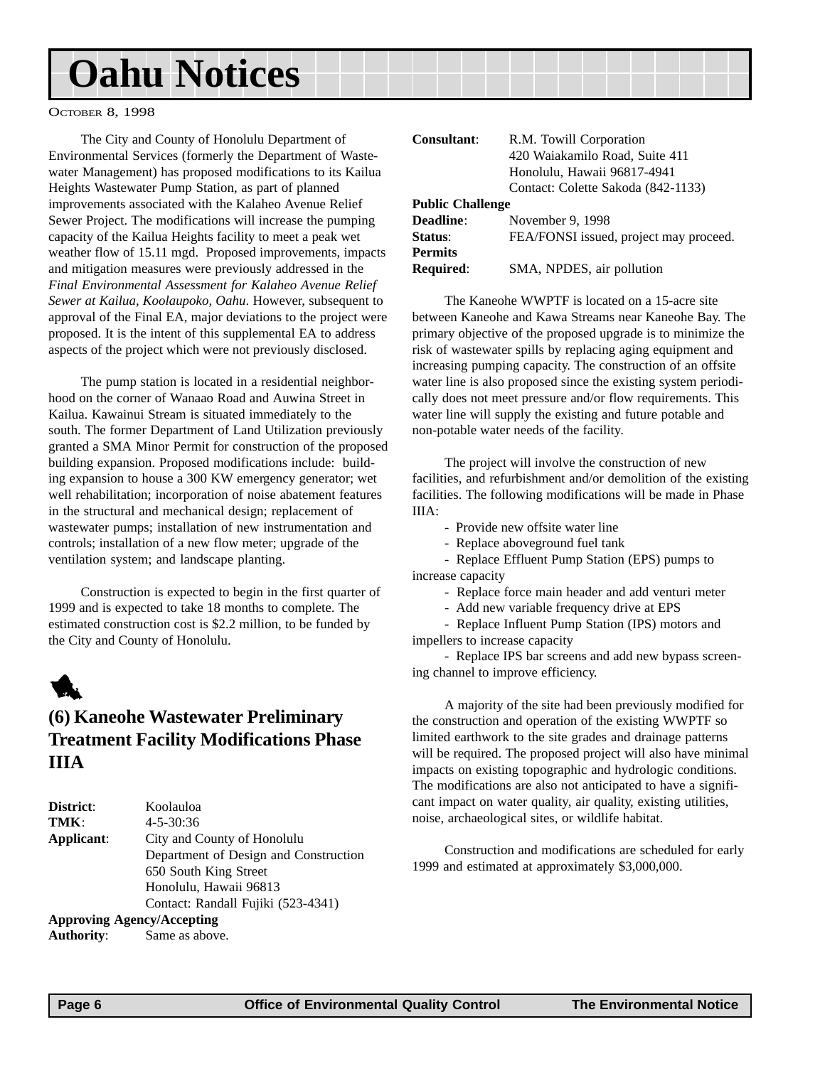#### <span id="page-5-0"></span>OCTOBER 8, 1998

The City and County of Honolulu Department of Environmental Services (formerly the Department of Wastewater Management) has proposed modifications to its Kailua Heights Wastewater Pump Station, as part of planned improvements associated with the Kalaheo Avenue Relief Sewer Project. The modifications will increase the pumping capacity of the Kailua Heights facility to meet a peak wet weather flow of 15.11 mgd. Proposed improvements, impacts and mitigation measures were previously addressed in the *Final Environmental Assessment for Kalaheo Avenue Relief Sewer at Kailua, Koolaupoko, Oahu*. However, subsequent to approval of the Final EA, major deviations to the project were proposed. It is the intent of this supplemental EA to address aspects of the project which were not previously disclosed.

The pump station is located in a residential neighborhood on the corner of Wanaao Road and Auwina Street in Kailua. Kawainui Stream is situated immediately to the south. The former Department of Land Utilization previously granted a SMA Minor Permit for construction of the proposed building expansion. Proposed modifications include: building expansion to house a 300 KW emergency generator; wet well rehabilitation; incorporation of noise abatement features in the structural and mechanical design; replacement of wastewater pumps; installation of new instrumentation and controls; installation of a new flow meter; upgrade of the ventilation system; and landscape planting.

Construction is expected to begin in the first quarter of 1999 and is expected to take 18 months to complete. The estimated construction cost is \$2.2 million, to be funded by the City and County of Honolulu.

## 1

### **(6) Kaneohe Wastewater Preliminary Treatment Facility Modifications Phase IIIA**

| District:                         | Koolauloa                             |
|-----------------------------------|---------------------------------------|
| TMK:                              | $4 - 5 - 30:36$                       |
| Applicant:                        | City and County of Honolulu           |
|                                   | Department of Design and Construction |
|                                   | 650 South King Street                 |
|                                   | Honolulu, Hawaii 96813                |
|                                   | Contact: Randall Fujiki (523-4341)    |
| <b>Approving Agency/Accepting</b> |                                       |

**Authority**: Same as above.

| Consultant:             | R.M. Towill Corporation<br>420 Waiakamilo Road, Suite 411<br>Honolulu, Hawaii 96817-4941 |
|-------------------------|------------------------------------------------------------------------------------------|
|                         | Contact: Colette Sakoda (842-1133)                                                       |
| <b>Public Challenge</b> |                                                                                          |
| <b>Deadline:</b>        | November 9, 1998                                                                         |
| Status:                 | FEA/FONSI issued, project may proceed.                                                   |
| <b>Permits</b>          |                                                                                          |
| <b>Required:</b>        | SMA, NPDES, air pollution                                                                |

The Kaneohe WWPTF is located on a 15-acre site between Kaneohe and Kawa Streams near Kaneohe Bay. The primary objective of the proposed upgrade is to minimize the risk of wastewater spills by replacing aging equipment and increasing pumping capacity. The construction of an offsite water line is also proposed since the existing system periodically does not meet pressure and/or flow requirements. This water line will supply the existing and future potable and non-potable water needs of the facility.

The project will involve the construction of new facilities, and refurbishment and/or demolition of the existing facilities. The following modifications will be made in Phase IIIA:

- Provide new offsite water line

- Replace aboveground fuel tank

- Replace Effluent Pump Station (EPS) pumps to increase capacity

- Replace force main header and add venturi meter

- Add new variable frequency drive at EPS

- Replace Influent Pump Station (IPS) motors and impellers to increase capacity

- Replace IPS bar screens and add new bypass screening channel to improve efficiency.

A majority of the site had been previously modified for the construction and operation of the existing WWPTF so limited earthwork to the site grades and drainage patterns will be required. The proposed project will also have minimal impacts on existing topographic and hydrologic conditions. The modifications are also not anticipated to have a significant impact on water quality, air quality, existing utilities, noise, archaeological sites, or wildlife habitat.

Construction and modifications are scheduled for early 1999 and estimated at approximately \$3,000,000.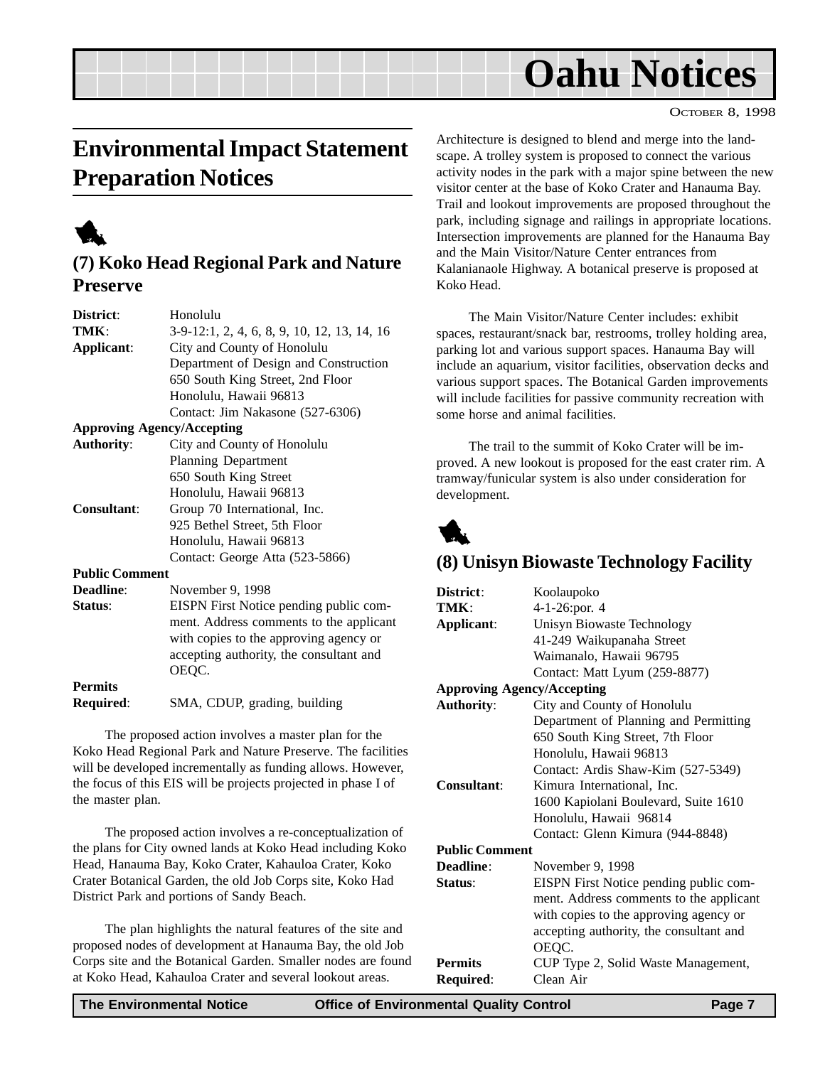## <span id="page-6-0"></span>**Environmental Impact Statement Preparation Notices**

1

### **(7) Koko Head Regional Park and Nature Preserve**

| District:             | Honolulu                                    |
|-----------------------|---------------------------------------------|
| TMK:                  | 3-9-12:1, 2, 4, 6, 8, 9, 10, 12, 13, 14, 16 |
| Applicant:            | City and County of Honolulu                 |
|                       | Department of Design and Construction       |
|                       | 650 South King Street, 2nd Floor            |
|                       | Honolulu, Hawaii 96813                      |
|                       | Contact: Jim Nakasone (527-6306)            |
|                       | <b>Approving Agency/Accepting</b>           |
| <b>Authority:</b>     | City and County of Honolulu                 |
|                       | <b>Planning Department</b>                  |
|                       | 650 South King Street                       |
|                       | Honolulu, Hawaii 96813                      |
| Consultant:           | Group 70 International, Inc.                |
|                       | 925 Bethel Street, 5th Floor                |
|                       | Honolulu, Hawaii 96813                      |
|                       | Contact: George Atta (523-5866)             |
| <b>Public Comment</b> |                                             |
| Deadline:             | November 9, 1998                            |
| Status:               | EISPN First Notice pending public com-      |
|                       | ment. Address comments to the applicant     |
|                       | with copies to the approving agency or      |
|                       | accepting authority, the consultant and     |
|                       | OEQC.                                       |
| <b>Permits</b>        |                                             |
| Required:             | SMA, CDUP, grading, building                |

The proposed action involves a master plan for the Koko Head Regional Park and Nature Preserve. The facilities will be developed incrementally as funding allows. However, the focus of this EIS will be projects projected in phase I of the master plan.

The proposed action involves a re-conceptualization of the plans for City owned lands at Koko Head including Koko Head, Hanauma Bay, Koko Crater, Kahauloa Crater, Koko Crater Botanical Garden, the old Job Corps site, Koko Had District Park and portions of Sandy Beach.

The plan highlights the natural features of the site and proposed nodes of development at Hanauma Bay, the old Job Corps site and the Botanical Garden. Smaller nodes are found at Koko Head, Kahauloa Crater and several lookout areas.

Architecture is designed to blend and merge into the landscape. A trolley system is proposed to connect the various activity nodes in the park with a major spine between the new visitor center at the base of Koko Crater and Hanauma Bay. Trail and lookout improvements are proposed throughout the park, including signage and railings in appropriate locations. Intersection improvements are planned for the Hanauma Bay and the Main Visitor/Nature Center entrances from Kalanianaole Highway. A botanical preserve is proposed at Koko Head.

The Main Visitor/Nature Center includes: exhibit spaces, restaurant/snack bar, restrooms, trolley holding area, parking lot and various support spaces. Hanauma Bay will include an aquarium, visitor facilities, observation decks and various support spaces. The Botanical Garden improvements will include facilities for passive community recreation with some horse and animal facilities.

The trail to the summit of Koko Crater will be improved. A new lookout is proposed for the east crater rim. A tramway/funicular system is also under consideration for development.



## **(8) Unisyn Biowaste Technology Facility**

| District:             | Koolaupoko                                                                                                                  |
|-----------------------|-----------------------------------------------------------------------------------------------------------------------------|
| TMK:                  | 4-1-26:por. 4                                                                                                               |
| Applicant:            | Unisyn Biowaste Technology                                                                                                  |
|                       | 41-249 Waikupanaha Street                                                                                                   |
|                       | Waimanalo, Hawaii 96795                                                                                                     |
|                       | Contact: Matt Lyum (259-8877)                                                                                               |
|                       | <b>Approving Agency/Accepting</b>                                                                                           |
| <b>Authority:</b>     | City and County of Honolulu                                                                                                 |
|                       | Department of Planning and Permitting                                                                                       |
|                       | 650 South King Street, 7th Floor                                                                                            |
|                       | Honolulu, Hawaii 96813                                                                                                      |
|                       | Contact: Ardis Shaw-Kim (527-5349)                                                                                          |
| Consultant:           | Kimura International, Inc.                                                                                                  |
|                       | 1600 Kapiolani Boulevard, Suite 1610                                                                                        |
|                       | Honolulu, Hawaii 96814                                                                                                      |
|                       | Contact: Glenn Kimura (944-8848)                                                                                            |
| <b>Public Comment</b> |                                                                                                                             |
| Deadline:             | November 9, 1998                                                                                                            |
| Status:               | EISPN First Notice pending public com-<br>ment. Address comments to the applicant<br>with copies to the approving agency or |
|                       | accepting authority, the consultant and<br>OEQC.                                                                            |
| <b>Permits</b>        | CUP Type 2, Solid Waste Management,                                                                                         |
| Required:             | Clean Air                                                                                                                   |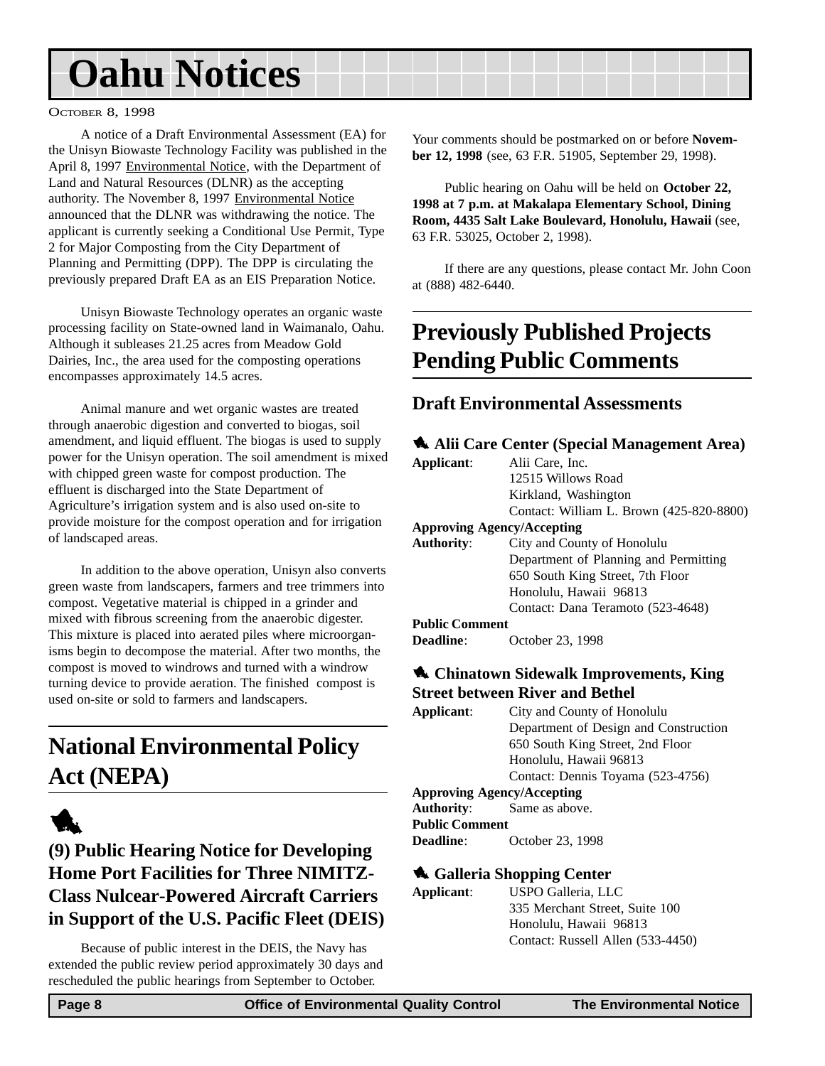#### <span id="page-7-0"></span>OCTOBER 8, 1998

A notice of a Draft Environmental Assessment (EA) for the Unisyn Biowaste Technology Facility was published in the April 8, 1997 Environmental Notice, with the Department of Land and Natural Resources (DLNR) as the accepting authority. The November 8, 1997 Environmental Notice announced that the DLNR was withdrawing the notice. The applicant is currently seeking a Conditional Use Permit, Type 2 for Major Composting from the City Department of Planning and Permitting (DPP). The DPP is circulating the previously prepared Draft EA as an EIS Preparation Notice.

Unisyn Biowaste Technology operates an organic waste processing facility on State-owned land in Waimanalo, Oahu. Although it subleases 21.25 acres from Meadow Gold Dairies, Inc., the area used for the composting operations encompasses approximately 14.5 acres.

Animal manure and wet organic wastes are treated through anaerobic digestion and converted to biogas, soil amendment, and liquid effluent. The biogas is used to supply power for the Unisyn operation. The soil amendment is mixed with chipped green waste for compost production. The effluent is discharged into the State Department of Agriculture's irrigation system and is also used on-site to provide moisture for the compost operation and for irrigation of landscaped areas.

In addition to the above operation, Unisyn also converts green waste from landscapers, farmers and tree trimmers into compost. Vegetative material is chipped in a grinder and mixed with fibrous screening from the anaerobic digester. This mixture is placed into aerated piles where microorganisms begin to decompose the material. After two months, the compost is moved to windrows and turned with a windrow turning device to provide aeration. The finished compost is used on-site or sold to farmers and landscapers.

## **National Environmental Policy Act (NEPA)**



**(9) Public Hearing Notice for Developing Home Port Facilities for Three NIMITZ-Class Nulcear-Powered Aircraft Carriers in Support of the U.S. Pacific Fleet (DEIS)**

Because of public interest in the DEIS, the Navy has extended the public review period approximately 30 days and rescheduled the public hearings from September to October.

Your comments should be postmarked on or before **November 12, 1998** (see, 63 F.R. 51905, September 29, 1998).

Public hearing on Oahu will be held on **October 22, 1998 at 7 p.m. at Makalapa Elementary School, Dining Room, 4435 Salt Lake Boulevard, Honolulu, Hawaii** (see, 63 F.R. 53025, October 2, 1998).

If there are any questions, please contact Mr. John Coon at (888) 482-6440.

## **Previously Published Projects Pending Public Comments**

#### **Draft Environmental Assessments**

|            | Alii Care Center (Special Management Area) |
|------------|--------------------------------------------|
| Applicant: | $\Delta$ lii Caro Inc                      |

| Applicant:            | Alii Care, Inc.                          |
|-----------------------|------------------------------------------|
|                       | 12515 Willows Road                       |
|                       | Kirkland, Washington                     |
|                       | Contact: William L. Brown (425-820-8800) |
|                       | <b>Approving Agency/Accepting</b>        |
| <b>Authority:</b>     | City and County of Honolulu              |
|                       | Department of Planning and Permitting    |
|                       | 650 South King Street, 7th Floor         |
|                       | Honolulu, Hawaii 96813                   |
|                       | Contact: Dana Teramoto (523-4648)        |
| <b>Public Comment</b> |                                          |
| <b>Deadline:</b>      | October 23, 1998                         |

#### 1 **Chinatown Sidewalk Improvements, King Street between River and Bethel**

| Applicant: | City and County of Honolulu           |
|------------|---------------------------------------|
|            | Department of Design and Construction |
|            | 650 South King Street, 2nd Floor      |
|            | Honolulu, Hawaii 96813                |
|            | Contact: Dennis Toyama (523-4756)     |
|            |                                       |

#### **Approving Agency/Accepting**

**Authority**: Same as above. **Public Comment Deadline**: October 23, 1998

#### 1 **Galleria Shopping Center**

| Applicant: | USPO Galleria, LLC                |
|------------|-----------------------------------|
|            | 335 Merchant Street, Suite 100    |
|            | Honolulu, Hawaii 96813            |
|            | Contact: Russell Allen (533-4450) |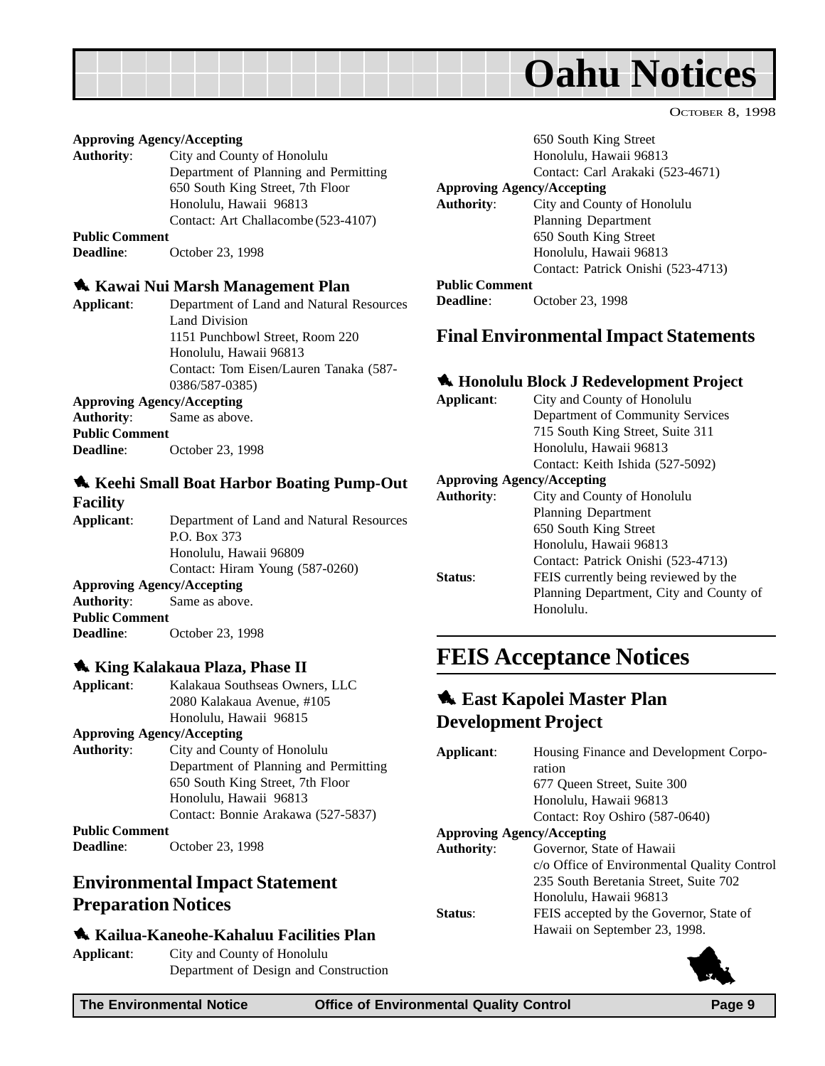<span id="page-8-0"></span>

#### **Approving Agency/Accepting**

**Authority**: City and County of Honolulu Department of Planning and Permitting 650 South King Street, 7th Floor Honolulu, Hawaii 96813 Contact: Art Challacombe (523-4107)

**Public Comment**

**Deadline**: October 23, 1998

#### 1 **Kawai Nui Marsh Management Plan**

**Applicant**: Department of Land and Natural Resources Land Division 1151 Punchbowl Street, Room 220 Honolulu, Hawaii 96813 Contact: Tom Eisen/Lauren Tanaka (587- 0386/587-0385)

#### **Approving Agency/Accepting**

**Authority**: Same as above. **Public Comment Deadline**: October 23, 1998

#### 1 **Keehi Small Boat Harbor Boating Pump-Out Facility**

**Applicant**: Department of Land and Natural Resources P.O. Box 373 Honolulu, Hawaii 96809 Contact: Hiram Young (587-0260) **Approving Agency/Accepting Authority**: Same as above. **Public Comment Deadline**: October 23, 1998

#### 1 **King Kalakaua Plaza, Phase II**

| Applicant:            | Kalakaua Southseas Owners, LLC        |
|-----------------------|---------------------------------------|
|                       | 2080 Kalakaua Avenue, #105            |
|                       | Honolulu, Hawaii 96815                |
|                       | <b>Approving Agency/Accepting</b>     |
| <b>Authority:</b>     | City and County of Honolulu           |
|                       | Department of Planning and Permitting |
|                       | 650 South King Street, 7th Floor      |
|                       | Honolulu, Hawaii 96813                |
|                       | Contact: Bonnie Arakawa (527-5837)    |
| <b>Public Comment</b> |                                       |
| <b>Deadline:</b>      | October 23, 1998                      |

#### **Environmental Impact Statement Preparation Notices**

#### 1 **Kailua-Kaneohe-Kahaluu Facilities Plan**

**Applicant**: City and County of Honolulu Department of Design and Construction 650 South King Street Honolulu, Hawaii 96813

OCTOBER 8, 1998

Contact: Carl Arakaki (523-4671)

#### **Approving Agency/Accepting**

**Authority**: City and County of Honolulu Planning Department 650 South King Street Honolulu, Hawaii 96813 Contact: Patrick Onishi (523-4713) **Public Comment**

**Deadline**: October 23, 1998

#### **Final Environmental Impact Statements**

#### 1 **Honolulu Block J Redevelopment Project**

**Applicant**: City and County of Honolulu Department of Community Services 715 South King Street, Suite 311 Honolulu, Hawaii 96813 Contact: Keith Ishida (527-5092) **Approving Agency/Accepting Authority**: City and County of Honolulu Planning Department 650 South King Street Honolulu, Hawaii 96813 Contact: Patrick Onishi (523-4713) **Status**: FEIS currently being reviewed by the Planning Department, City and County of Honolulu.

## **FEIS Acceptance Notices**

#### **1. East Kapolei Master Plan Development Project**

| Applicant:        | Housing Finance and Development Corpo-      |
|-------------------|---------------------------------------------|
|                   | ration                                      |
|                   | 677 Oueen Street, Suite 300                 |
|                   | Honolulu, Hawaii 96813                      |
|                   | Contact: Roy Oshiro (587-0640)              |
|                   | <b>Approving Agency/Accepting</b>           |
| <b>Authority:</b> | Governor, State of Hawaii                   |
|                   | c/o Office of Environmental Quality Control |
|                   | 235 South Beretania Street, Suite 702       |
|                   | Honolulu, Hawaii 96813                      |
| <b>Status:</b>    | FEIS accepted by the Governor, State of     |
|                   | Hawaii on September 23, 1998.               |
|                   |                                             |

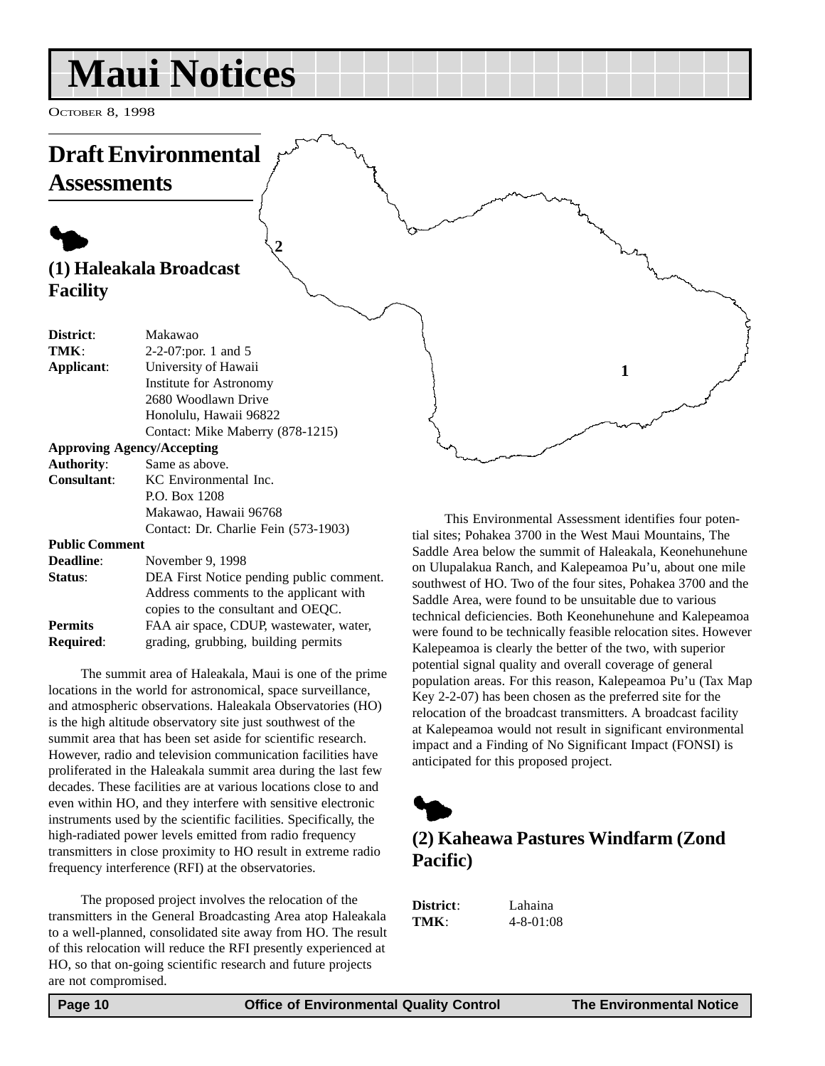## <span id="page-9-0"></span>**Maui Notices**

OCTOBER 8, 1998

## **Draft Environmental Assessments**

## $\blacklozenge$ **(1) Haleakala Broadcast Facility**

| District:  | Makawao                          |
|------------|----------------------------------|
| TMK:       | 2-2-07: por. 1 and 5             |
| Applicant: | University of Hawaii             |
|            | Institute for Astronomy          |
|            | 2680 Woodlawn Drive              |
|            | Honolulu, Hawaii 96822           |
|            | Contact: Mike Maberry (878-1215) |
|            |                                  |

**2**

#### **Approving Agency/Accepting**

| <b>Authority:</b>  | Same as above.                       |
|--------------------|--------------------------------------|
| <b>Consultant:</b> | KC Environmental Inc.                |
|                    | P.O. Box 1208                        |
|                    | Makawao, Hawaii 96768                |
|                    | Contact: Dr. Charlie Fein (573-1903) |

#### **Public Comment**

| <b>Deadline:</b> | November 9, 1998                         |
|------------------|------------------------------------------|
| Status:          | DEA First Notice pending public comment. |
|                  | Address comments to the applicant with   |
|                  | copies to the consultant and OEQC.       |
| <b>Permits</b>   | FAA air space, CDUP, wastewater, water,  |
| <b>Required:</b> | grading, grubbing, building permits      |

The summit area of Haleakala, Maui is one of the prime locations in the world for astronomical, space surveillance, and atmospheric observations. Haleakala Observatories (HO) is the high altitude observatory site just southwest of the summit area that has been set aside for scientific research. However, radio and television communication facilities have proliferated in the Haleakala summit area during the last few decades. These facilities are at various locations close to and even within HO, and they interfere with sensitive electronic instruments used by the scientific facilities. Specifically, the high-radiated power levels emitted from radio frequency transmitters in close proximity to HO result in extreme radio frequency interference (RFI) at the observatories.

The proposed project involves the relocation of the transmitters in the General Broadcasting Area atop Haleakala to a well-planned, consolidated site away from HO. The result of this relocation will reduce the RFI presently experienced at HO, so that on-going scientific research and future projects are not compromised.

This Environmental Assessment identifies four potential sites; Pohakea 3700 in the West Maui Mountains, The Saddle Area below the summit of Haleakala, Keonehunehune on Ulupalakua Ranch, and Kalepeamoa Pu'u, about one mile southwest of HO. Two of the four sites, Pohakea 3700 and the Saddle Area, were found to be unsuitable due to various technical deficiencies. Both Keonehunehune and Kalepeamoa were found to be technically feasible relocation sites. However Kalepeamoa is clearly the better of the two, with superior potential signal quality and overall coverage of general population areas. For this reason, Kalepeamoa Pu'u (Tax Map Key 2-2-07) has been chosen as the preferred site for the relocation of the broadcast transmitters. A broadcast facility at Kalepeamoa would not result in significant environmental impact and a Finding of No Significant Impact (FONSI) is anticipated for this proposed project.

**1**



## **(2) Kaheawa Pastures Windfarm (Zond Pacific)**

**District**: Lahaina **TMK** $\cdot$  4-8-01:08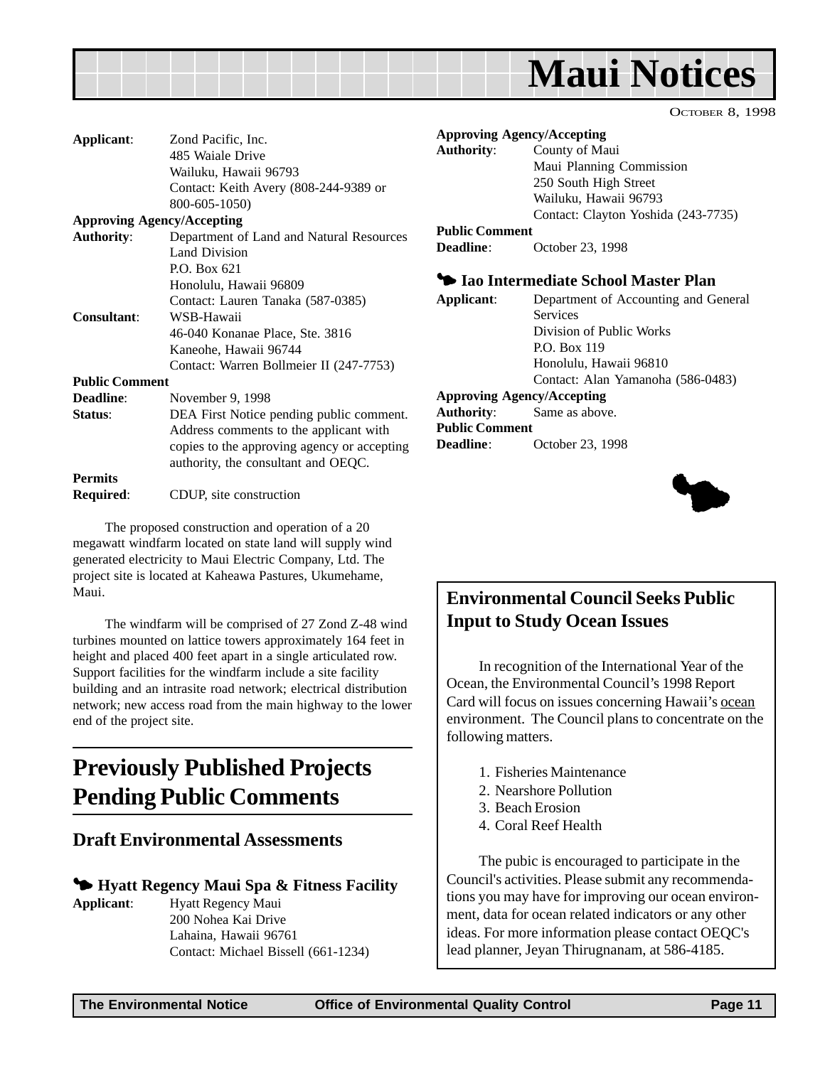## **Maui Notices**

OCTOBER 8, 1998

<span id="page-10-0"></span>

| Applicant:                        | Zond Pacific, Inc.                          |
|-----------------------------------|---------------------------------------------|
|                                   | 485 Waiale Drive                            |
|                                   | Wailuku, Hawaii 96793                       |
|                                   | Contact: Keith Avery (808-244-9389 or       |
|                                   | 800-605-1050)                               |
| <b>Approving Agency/Accepting</b> |                                             |
| <b>Authority:</b>                 | Department of Land and Natural Resources    |
|                                   | Land Division                               |
|                                   | $P.$ Box 621                                |
|                                   | Honolulu, Hawaii 96809                      |
|                                   | Contact: Lauren Tanaka (587-0385)           |
| Consultant:                       | WSB-Hawaii                                  |
|                                   | 46-040 Konanae Place, Ste. 3816             |
|                                   | Kaneohe, Hawaii 96744                       |
|                                   | Contact: Warren Bollmeier II (247-7753)     |
| <b>Public Comment</b>             |                                             |
| Deadline:                         | November 9, 1998                            |
| Status:                           | DEA First Notice pending public comment.    |
|                                   | Address comments to the applicant with      |
|                                   | copies to the approving agency or accepting |
|                                   | authority, the consultant and OEQC.         |
| <b>Permits</b>                    |                                             |
| Required:                         | CDUP, site construction                     |
|                                   |                                             |

The proposed construction and operation of a 20 megawatt windfarm located on state land will supply wind generated electricity to Maui Electric Company, Ltd. The project site is located at Kaheawa Pastures, Ukumehame, Maui.

The windfarm will be comprised of 27 Zond Z-48 wind turbines mounted on lattice towers approximately 164 feet in height and placed 400 feet apart in a single articulated row. Support facilities for the windfarm include a site facility building and an intrasite road network; electrical distribution network; new access road from the main highway to the lower end of the project site.

## **Previously Published Projects Pending Public Comments**

#### **Draft Environmental Assessments**

#### 3 **Hyatt Regency Maui Spa & Fitness Facility**

**Applicant:** Hyatt Regency Maui 200 Nohea Kai Drive Lahaina, Hawaii 96761 Contact: Michael Bissell (661-1234)

|                       | <b>Approving Agency/Accepting</b>     |
|-----------------------|---------------------------------------|
| <b>Authority:</b>     | County of Maui                        |
|                       | Maui Planning Commission              |
|                       | 250 South High Street                 |
|                       | Wailuku, Hawaii 96793                 |
|                       | Contact: Clayton Yoshida (243-7735)   |
| <b>Public Comment</b> |                                       |
| <b>Deadline</b> :     | October 23, 1998                      |
|                       |                                       |
|                       | • Iao Intermediate School Master Plan |
| Applicant:            | Department of Accounting and General  |
|                       | <b>Services</b>                       |
|                       | Division of Public Works              |
|                       | <b>P.O. Box 119</b>                   |
|                       | Honolulu, Hawaii 96810                |
|                       | Contact: Alan Yamanoha (586-0483)     |
|                       | <b>Approving Agency/Accepting</b>     |
| Authority:            | Same as above.                        |
| <b>Public Comment</b> |                                       |

 $\blacklozenge$ 

## **Environmental Council Seeks Public Input to Study Ocean Issues**

In recognition of the International Year of the Ocean, the Environmental Council's 1998 Report Card will focus on issues concerning Hawaii's ocean environment. The Council plans to concentrate on the following matters.

- 1. Fisheries Maintenance
- 2. Nearshore Pollution
- 3. Beach Erosion

**Deadline**: October 23, 1998

4. Coral Reef Health

The pubic is encouraged to participate in the Council's activities. Please submit any recommendations you may have for improving our ocean environment, data for ocean related indicators or any other ideas. For more information please contact OEQC's lead planner, Jeyan Thirugnanam, at 586-4185.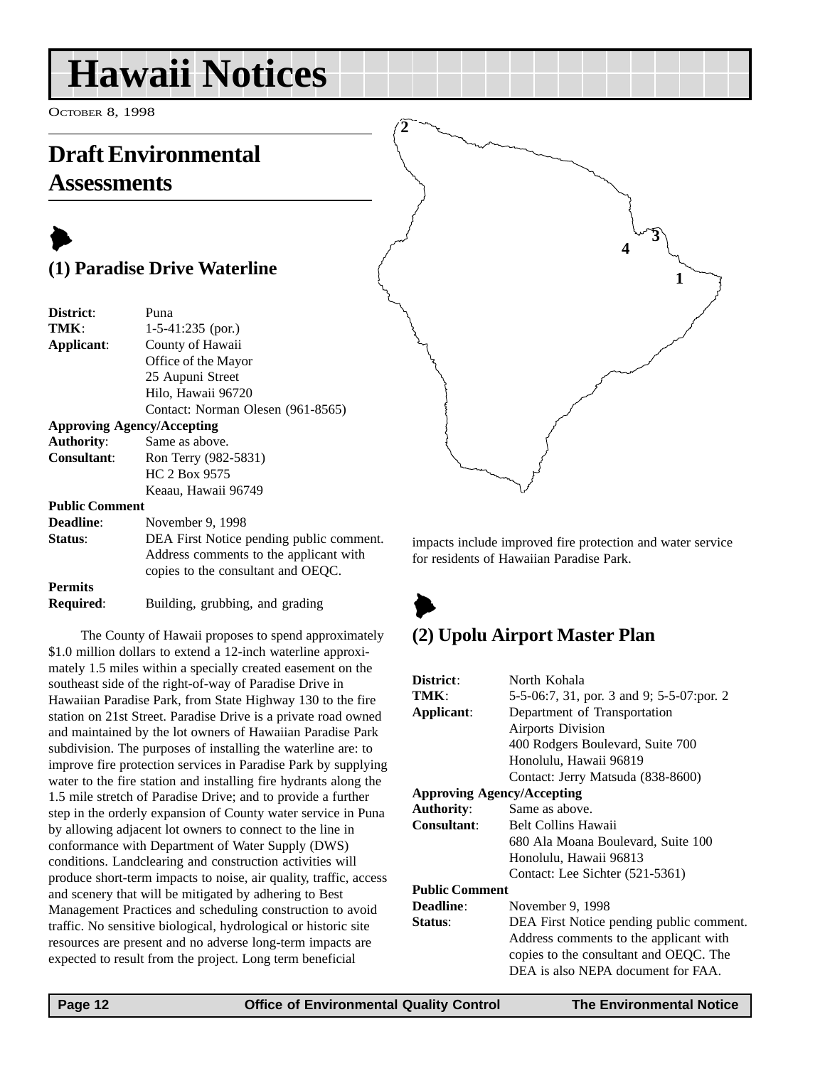## <span id="page-11-0"></span>**Hawaii Notices**

OCTOBER 8, 1998

## **Draft Environmental Assessments**

## $\blacktriangleright$ **(1) Paradise Drive Waterline**

| District:             | Puna                                     |
|-----------------------|------------------------------------------|
| TMK:                  | $1-5-41:235$ (por.)                      |
| Applicant:            | County of Hawaii                         |
|                       | Office of the Mayor                      |
|                       | 25 Aupuni Street                         |
|                       | Hilo, Hawaii 96720                       |
|                       | Contact: Norman Olesen (961-8565)        |
|                       | <b>Approving Agency/Accepting</b>        |
| <b>Authority:</b>     | Same as above.                           |
| <b>Consultant:</b>    | Ron Terry (982-5831)                     |
|                       | HC 2 Box 9575                            |
|                       | Keaau, Hawaii 96749                      |
| <b>Public Comment</b> |                                          |
| <b>Deadline:</b>      | November 9, 1998                         |
| Status:               | DEA First Notice pending public comment. |
|                       | Address comments to the applicant with   |
|                       | copies to the consultant and OEOC.       |

**Permits**

**Required:** Building, grubbing, and grading

The County of Hawaii proposes to spend approximately \$1.0 million dollars to extend a 12-inch waterline approximately 1.5 miles within a specially created easement on the southeast side of the right-of-way of Paradise Drive in Hawaiian Paradise Park, from State Highway 130 to the fire station on 21st Street. Paradise Drive is a private road owned and maintained by the lot owners of Hawaiian Paradise Park subdivision. The purposes of installing the waterline are: to improve fire protection services in Paradise Park by supplying water to the fire station and installing fire hydrants along the 1.5 mile stretch of Paradise Drive; and to provide a further step in the orderly expansion of County water service in Puna by allowing adjacent lot owners to connect to the line in conformance with Department of Water Supply (DWS) conditions. Landclearing and construction activities will produce short-term impacts to noise, air quality, traffic, access and scenery that will be mitigated by adhering to Best Management Practices and scheduling construction to avoid traffic. No sensitive biological, hydrological or historic site resources are present and no adverse long-term impacts are expected to result from the project. Long term beneficial



impacts include improved fire protection and water service for residents of Hawaiian Paradise Park.

## $\blacktriangleright$ **(2) Upolu Airport Master Plan**

| District:                         | North Kohala                               |  |
|-----------------------------------|--------------------------------------------|--|
| TMK:                              | 5-5-06:7, 31, por. 3 and 9; 5-5-07: por. 2 |  |
| Applicant:                        | Department of Transportation               |  |
|                                   | <b>Airports Division</b>                   |  |
|                                   | 400 Rodgers Boulevard, Suite 700           |  |
|                                   | Honolulu, Hawaii 96819                     |  |
|                                   | Contact: Jerry Matsuda (838-8600)          |  |
| <b>Approving Agency/Accepting</b> |                                            |  |
| <b>Authority:</b>                 | Same as above.                             |  |
| <b>Consultant:</b>                | <b>Belt Collins Hawaii</b>                 |  |
|                                   | 680 Ala Moana Boulevard, Suite 100         |  |
|                                   | Honolulu, Hawaii 96813                     |  |
|                                   | Contact: Lee Sichter (521-5361)            |  |
| <b>Public Comment</b>             |                                            |  |
| <b>Deadline:</b>                  | November 9, 1998                           |  |
| Status:                           | DEA First Notice pending public comment.   |  |
|                                   | Address comments to the applicant with     |  |
|                                   | copies to the consultant and OEQC. The     |  |
|                                   | DEA is also NEPA document for FAA.         |  |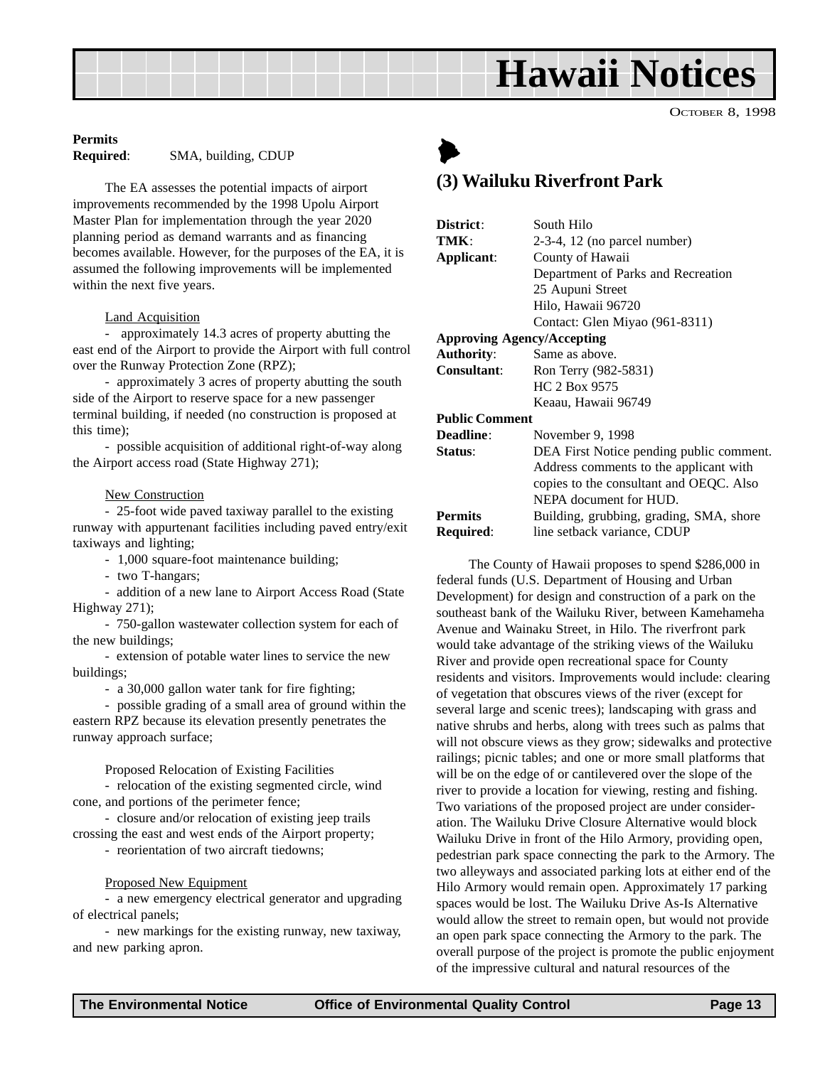## **Hawaii Notices**

OCTOBER 8, 1998

#### <span id="page-12-0"></span>**Permits**

**Required**: SMA, building, CDUP

The EA assesses the potential impacts of airport improvements recommended by the 1998 Upolu Airport Master Plan for implementation through the year 2020 planning period as demand warrants and as financing becomes available. However, for the purposes of the EA, it is assumed the following improvements will be implemented within the next five years.

#### **Land Acquisition**

- approximately 14.3 acres of property abutting the east end of the Airport to provide the Airport with full control over the Runway Protection Zone (RPZ);

- approximately 3 acres of property abutting the south side of the Airport to reserve space for a new passenger terminal building, if needed (no construction is proposed at this time);

- possible acquisition of additional right-of-way along the Airport access road (State Highway 271);

#### **New Construction**

- 25-foot wide paved taxiway parallel to the existing runway with appurtenant facilities including paved entry/exit taxiways and lighting;

- 1,000 square-foot maintenance building;

- two T-hangars;

- addition of a new lane to Airport Access Road (State Highway 271);

- 750-gallon wastewater collection system for each of the new buildings;

- extension of potable water lines to service the new buildings;

- a 30,000 gallon water tank for fire fighting;

- possible grading of a small area of ground within the eastern RPZ because its elevation presently penetrates the runway approach surface;

Proposed Relocation of Existing Facilities

- relocation of the existing segmented circle, wind cone, and portions of the perimeter fence;

- closure and/or relocation of existing jeep trails crossing the east and west ends of the Airport property;

- reorientation of two aircraft tiedowns;

#### Proposed New Equipment

- a new emergency electrical generator and upgrading of electrical panels;

- new markings for the existing runway, new taxiway, and new parking apron.

## $\blacktriangleright$

### **(3) Wailuku Riverfront Park**

| District:                         | South Hilo                               |  |
|-----------------------------------|------------------------------------------|--|
| TMK:                              | $2-3-4$ , 12 (no parcel number)          |  |
| Applicant:                        | County of Hawaii                         |  |
|                                   | Department of Parks and Recreation       |  |
|                                   | 25 Aupuni Street                         |  |
|                                   | Hilo, Hawaii 96720                       |  |
|                                   | Contact: Glen Miyao (961-8311)           |  |
| <b>Approving Agency/Accepting</b> |                                          |  |
| <b>Authority:</b>                 | Same as above.                           |  |
| <b>Consultant:</b>                | Ron Terry (982-5831)                     |  |
|                                   | HC 2 Box 9575                            |  |
|                                   | Keaau, Hawaii 96749                      |  |
| <b>Public Comment</b>             |                                          |  |
| <b>Deadline:</b>                  | November 9, 1998                         |  |
| Status:                           | DEA First Notice pending public comment. |  |
|                                   | Address comments to the applicant with   |  |
|                                   | copies to the consultant and OEQC. Also  |  |
|                                   | NEPA document for HUD.                   |  |
| <b>Permits</b>                    | Building, grubbing, grading, SMA, shore  |  |
| Required:                         | line setback variance, CDUP              |  |

The County of Hawaii proposes to spend \$286,000 in federal funds (U.S. Department of Housing and Urban Development) for design and construction of a park on the southeast bank of the Wailuku River, between Kamehameha Avenue and Wainaku Street, in Hilo. The riverfront park would take advantage of the striking views of the Wailuku River and provide open recreational space for County residents and visitors. Improvements would include: clearing of vegetation that obscures views of the river (except for several large and scenic trees); landscaping with grass and native shrubs and herbs, along with trees such as palms that will not obscure views as they grow; sidewalks and protective railings; picnic tables; and one or more small platforms that will be on the edge of or cantilevered over the slope of the river to provide a location for viewing, resting and fishing. Two variations of the proposed project are under consideration. The Wailuku Drive Closure Alternative would block Wailuku Drive in front of the Hilo Armory, providing open, pedestrian park space connecting the park to the Armory. The two alleyways and associated parking lots at either end of the Hilo Armory would remain open. Approximately 17 parking spaces would be lost. The Wailuku Drive As-Is Alternative would allow the street to remain open, but would not provide an open park space connecting the Armory to the park. The overall purpose of the project is promote the public enjoyment of the impressive cultural and natural resources of the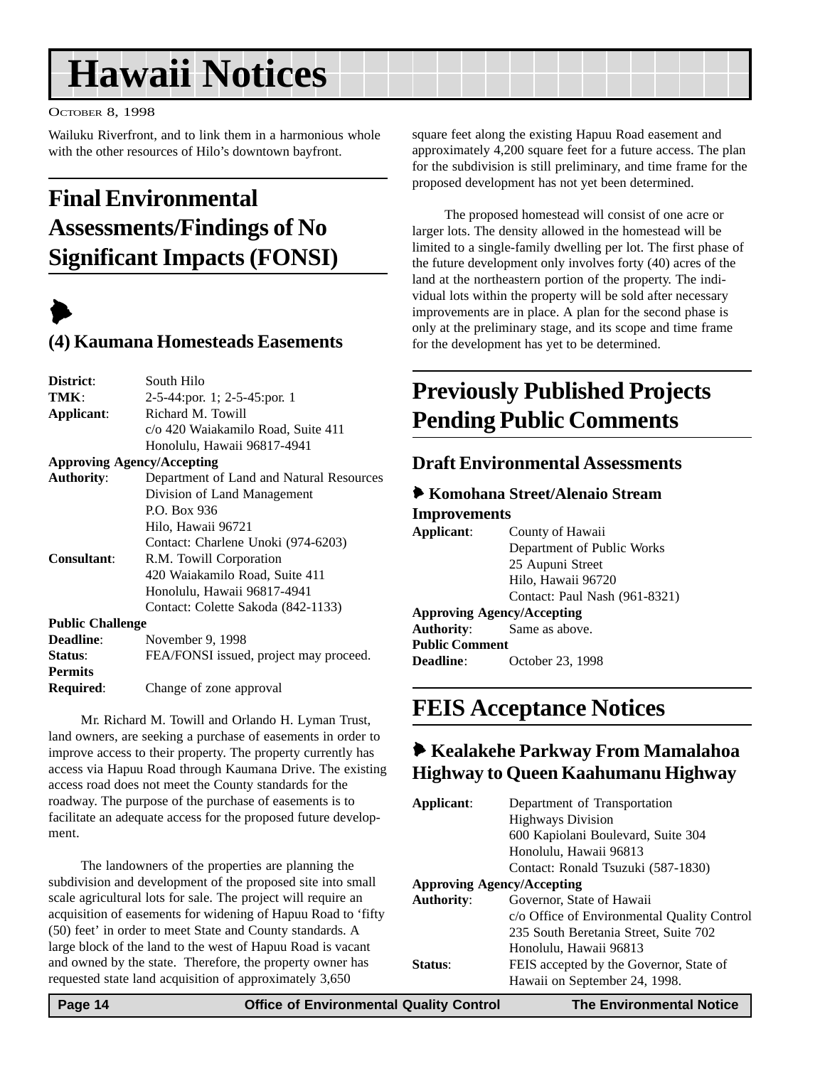## <span id="page-13-0"></span>**Hawaii Notices**

#### OCTOBER 8, 1998

Wailuku Riverfront, and to link them in a harmonious whole with the other resources of Hilo's downtown bayfront.

## **Final Environmental Assessments/Findings of No Significant Impacts (FONSI)**

## $\blacktriangleright$

### **(4) Kaumana Homesteads Easements**

| <b>District:</b>                  | South Hilo                               |  |
|-----------------------------------|------------------------------------------|--|
| TMK:                              | $2-5-44$ : por. 1; $2-5-45$ : por. 1     |  |
| Applicant:                        | Richard M. Towill                        |  |
|                                   | c/o 420 Waiakamilo Road, Suite 411       |  |
|                                   | Honolulu, Hawaii 96817-4941              |  |
| <b>Approving Agency/Accepting</b> |                                          |  |
| <b>Authority:</b>                 | Department of Land and Natural Resources |  |
|                                   | Division of Land Management              |  |
|                                   | P.O. Box 936                             |  |
|                                   | Hilo, Hawaii 96721                       |  |
|                                   | Contact: Charlene Unoki (974-6203)       |  |
| Consultant:                       | R.M. Towill Corporation                  |  |
|                                   | 420 Waiakamilo Road, Suite 411           |  |
|                                   | Honolulu, Hawaii 96817-4941              |  |
|                                   | Contact: Colette Sakoda (842-1133)       |  |
| <b>Public Challenge</b>           |                                          |  |
| Deadline:                         | November 9, 1998                         |  |
| <b>Status:</b>                    | FEA/FONSI issued, project may proceed.   |  |
| <b>Permits</b>                    |                                          |  |
|                                   |                                          |  |

**Required**: Change of zone approval

Mr. Richard M. Towill and Orlando H. Lyman Trust, land owners, are seeking a purchase of easements in order to improve access to their property. The property currently has access via Hapuu Road through Kaumana Drive. The existing access road does not meet the County standards for the roadway. The purpose of the purchase of easements is to facilitate an adequate access for the proposed future development.

The landowners of the properties are planning the subdivision and development of the proposed site into small scale agricultural lots for sale. The project will require an acquisition of easements for widening of Hapuu Road to 'fifty (50) feet' in order to meet State and County standards. A large block of the land to the west of Hapuu Road is vacant and owned by the state. Therefore, the property owner has requested state land acquisition of approximately 3,650

square feet along the existing Hapuu Road easement and approximately 4,200 square feet for a future access. The plan for the subdivision is still preliminary, and time frame for the proposed development has not yet been determined.

The proposed homestead will consist of one acre or larger lots. The density allowed in the homestead will be limited to a single-family dwelling per lot. The first phase of the future development only involves forty (40) acres of the land at the northeastern portion of the property. The individual lots within the property will be sold after necessary improvements are in place. A plan for the second phase is only at the preliminary stage, and its scope and time frame for the development has yet to be determined.

## **Previously Published Projects Pending Public Comments**

#### **Draft Environmental Assessments**

#### 6 **Komohana Street/Alenaio Stream Improvements**

**Applicant**: County of Hawaii Department of Public Works 25 Aupuni Street Hilo, Hawaii 96720 Contact: Paul Nash (961-8321) **Approving Agency/Accepting Authority**: Same as above.

**Public Comment Deadline**: October 23, 1998

## **FEIS Acceptance Notices**

### 6 **Kealakehe Parkway From Mamalahoa Highway to Queen Kaahumanu Highway**

| Applicant:                        | Department of Transportation                |
|-----------------------------------|---------------------------------------------|
|                                   | <b>Highways Division</b>                    |
|                                   | 600 Kapiolani Boulevard, Suite 304          |
|                                   | Honolulu, Hawaii 96813                      |
|                                   | Contact: Ronald Tsuzuki (587-1830)          |
| <b>Approving Agency/Accepting</b> |                                             |
| <b>Authority:</b>                 | Governor, State of Hawaii                   |
|                                   | c/o Office of Environmental Quality Control |
|                                   | 235 South Beretania Street, Suite 702       |
|                                   | Honolulu, Hawaii 96813                      |
| Status:                           | FEIS accepted by the Governor, State of     |
|                                   | Hawaii on September 24, 1998.               |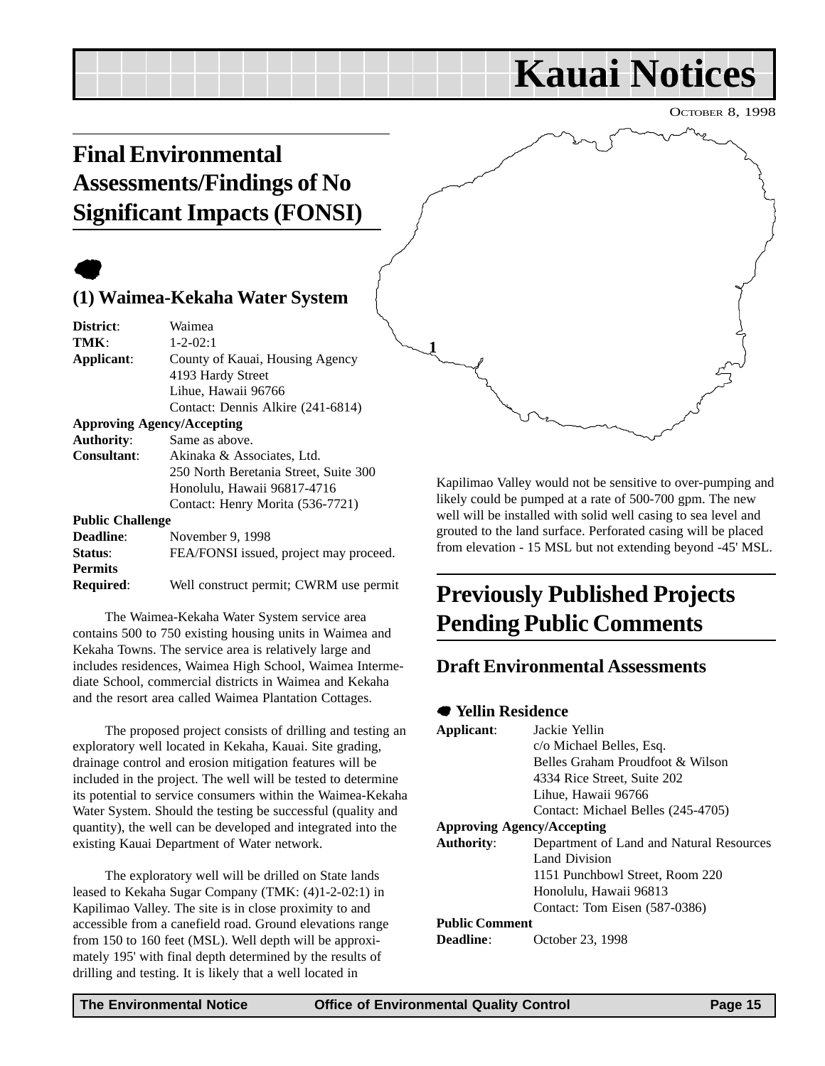## **Kauai Notices**

OCTOBER 8, 1998

## <span id="page-14-0"></span>**Final Environmental Assessments/Findings of No Significant Impacts (FONSI)**

## $\bullet$

### **(1) Waimea-Kekaha Water System**

| District:               | Waimea                                 |  |
|-------------------------|----------------------------------------|--|
| TMK:                    | $1 - 2 - 02:1$                         |  |
| Applicant:              | County of Kauai, Housing Agency        |  |
|                         | 4193 Hardy Street                      |  |
|                         | Lihue, Hawaii 96766                    |  |
|                         | Contact: Dennis Alkire (241-6814)      |  |
|                         | <b>Approving Agency/Accepting</b>      |  |
| <b>Authority:</b>       | Same as above.                         |  |
| Consultant:             | Akinaka & Associates, Ltd.             |  |
|                         | 250 North Beretania Street, Suite 300  |  |
|                         | Honolulu, Hawaii 96817-4716            |  |
|                         | Contact: Henry Morita (536-7721)       |  |
| <b>Public Challenge</b> |                                        |  |
| <b>Deadline:</b>        | November 9, 1998                       |  |
| Status:                 | FEA/FONSI issued, project may proceed. |  |
| <b>Permits</b>          |                                        |  |
|                         |                                        |  |

**Required**: Well construct permit; CWRM use permit

The Waimea-Kekaha Water System service area contains 500 to 750 existing housing units in Waimea and Kekaha Towns. The service area is relatively large and includes residences, Waimea High School, Waimea Intermediate School, commercial districts in Waimea and Kekaha and the resort area called Waimea Plantation Cottages.

The proposed project consists of drilling and testing an exploratory well located in Kekaha, Kauai. Site grading, drainage control and erosion mitigation features will be included in the project. The well will be tested to determine its potential to service consumers within the Waimea-Kekaha Water System. Should the testing be successful (quality and quantity), the well can be developed and integrated into the existing Kauai Department of Water network.

The exploratory well will be drilled on State lands leased to Kekaha Sugar Company (TMK: (4)1-2-02:1) in Kapilimao Valley. The site is in close proximity to and accessible from a canefield road. Ground elevations range from 150 to 160 feet (MSL). Well depth will be approximately 195' with final depth determined by the results of drilling and testing. It is likely that a well located in

Kapilimao Valley would not be sensitive to over-pumping and likely could be pumped at a rate of 500-700 gpm. The new well will be installed with solid well casing to sea level and grouted to the land surface. Perforated casing will be placed from elevation - 15 MSL but not extending beyond -45' MSL.

## **Previously Published Projects Pending Public Comments**

#### **Draft Environmental Assessments**

#### 7 **Yellin Residence**

**1**

| Applicant:                        | Jackie Yellin<br>c/o Michael Belles, Esq.<br>Belles Graham Proudfoot & Wilson<br>4334 Rice Street, Suite 202 |
|-----------------------------------|--------------------------------------------------------------------------------------------------------------|
|                                   | Lihue, Hawaii 96766                                                                                          |
|                                   | Contact: Michael Belles (245-4705)                                                                           |
| <b>Approving Agency/Accepting</b> |                                                                                                              |
| <b>Authority:</b>                 | Department of Land and Natural Resources                                                                     |
|                                   | Land Division                                                                                                |
|                                   | 1151 Punchbowl Street, Room 220                                                                              |
|                                   | Honolulu, Hawaii 96813                                                                                       |
|                                   | Contact: Tom Eisen (587-0386)                                                                                |
| <b>Public Comment</b>             |                                                                                                              |
| Deadline:                         | October 23, 1998                                                                                             |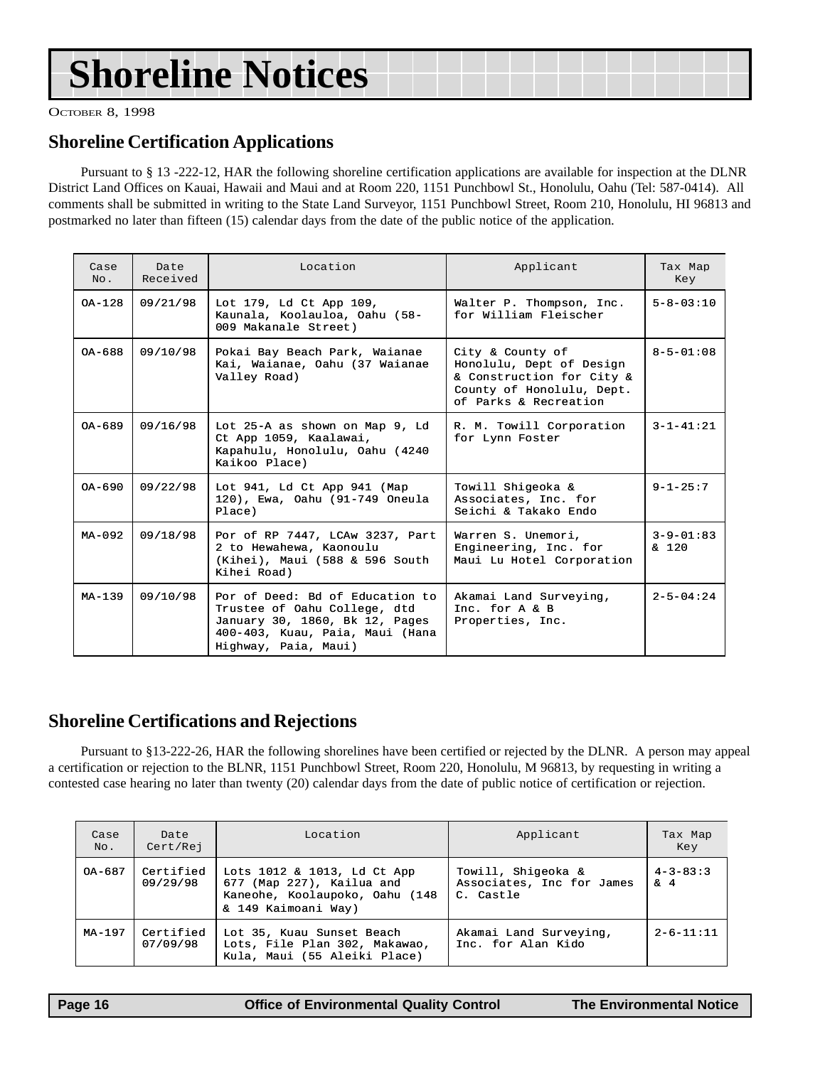## **Shoreline Notices**

OCTOBER 8, 1998

### **Shoreline Certification Applications**

Pursuant to § 13 -222-12, HAR the following shoreline certification applications are available for inspection at the DLNR District Land Offices on Kauai, Hawaii and Maui and at Room 220, 1151 Punchbowl St., Honolulu, Oahu (Tel: 587-0414). All comments shall be submitted in writing to the State Land Surveyor, 1151 Punchbowl Street, Room 210, Honolulu, HI 96813 and postmarked no later than fifteen (15) calendar days from the date of the public notice of the application.

| Case<br>No. | Date<br>Received | Location                                                                                                                                                     | Applicant                                                                                                                       | Tax Map<br>Key                     |
|-------------|------------------|--------------------------------------------------------------------------------------------------------------------------------------------------------------|---------------------------------------------------------------------------------------------------------------------------------|------------------------------------|
| OA-128      | 09/21/98         | Lot 179, Ld Ct App 109,<br>Kaunala, Koolauloa, Oahu (58-<br>009 Makanale Street)                                                                             | Walter P. Thompson, Inc.<br>for William Fleischer                                                                               | $5 - 8 - 03:10$                    |
| $0A - 688$  | 09/10/98         | Pokai Bay Beach Park, Waianae<br>Kai, Waianae, Oahu (37 Waianae<br>Valley Road)                                                                              | City & County of<br>Honolulu, Dept of Design<br>& Construction for City &<br>County of Honolulu, Dept.<br>of Parks & Recreation | $8 - 5 - 01:08$                    |
| $0A - 689$  | 09/16/98         | Lot 25-A as shown on Map 9, Ld<br>Ct App 1059, Kaalawai,<br>Kapahulu, Honolulu, Oahu (4240<br>Kaikoo Place)                                                  | R. M. Towill Corporation<br>for Lynn Foster                                                                                     | $3 - 1 - 41:21$                    |
| $0A - 690$  | 09/22/98         | Lot 941, Ld Ct App 941 (Map<br>120), Ewa, Oahu (91-749 Oneula<br>Place)                                                                                      | Towill Shigeoka &<br>Associates, Inc. for<br>Seichi & Takako Endo                                                               | $9 - 1 - 25:7$                     |
| $MA - 092$  | 09/18/98         | Por of RP 7447, LCAw 3237, Part<br>2 to Hewahewa, Kaonoulu<br>(Kihei), Maui (588 & 596 South<br>Kihei Road)                                                  | Warren S. Unemori,<br>Engineering, Inc. for<br>Maui Lu Hotel Corporation                                                        | $3 - 9 - 01:83$<br>$\frac{120}{ }$ |
| $MA - 1.39$ | 09/10/98         | Por of Deed: Bd of Education to<br>Trustee of Oahu College, dtd<br>January 30, 1860, Bk 12, Pages<br>400-403, Kuau, Paia, Maui (Hana<br>Highway, Paia, Maui) | Akamai Land Surveying,<br>Inc. for $A \& B$<br>Properties, Inc.                                                                 | $2 - 5 - 04:24$                    |

### **Shoreline Certifications and Rejections**

Pursuant to §13-222-26, HAR the following shorelines have been certified or rejected by the DLNR. A person may appeal a certification or rejection to the BLNR, 1151 Punchbowl Street, Room 220, Honolulu, M 96813, by requesting in writing a contested case hearing no later than twenty (20) calendar days from the date of public notice of certification or rejection.

| Case<br>No. | Date<br>Cert/Rej      | Location                                                                                                          | Applicant                                                    | Tax Map<br>Key               |
|-------------|-----------------------|-------------------------------------------------------------------------------------------------------------------|--------------------------------------------------------------|------------------------------|
| OA-687      | Certified<br>09/29/98 | Lots 1012 & 1013, Ld Ct App<br>677 (Map 227), Kailua and<br>Kaneohe, Koolaupoko, Oahu (148<br>& 149 Kaimoani Way) | Towill, Shiqeoka &<br>Associates, Inc for James<br>C. Castle | $4 - 3 - 83:3$<br>$\delta$ 4 |
| MA-197      | Certified<br>07/09/98 | Lot 35, Kuau Sunset Beach<br>Lots, File Plan 302, Makawao,<br>Kula, Maui (55 Aleiki Place)                        | Akamai Land Surveying,<br>Inc. for Alan Kido                 | $2 - 6 - 11:11$              |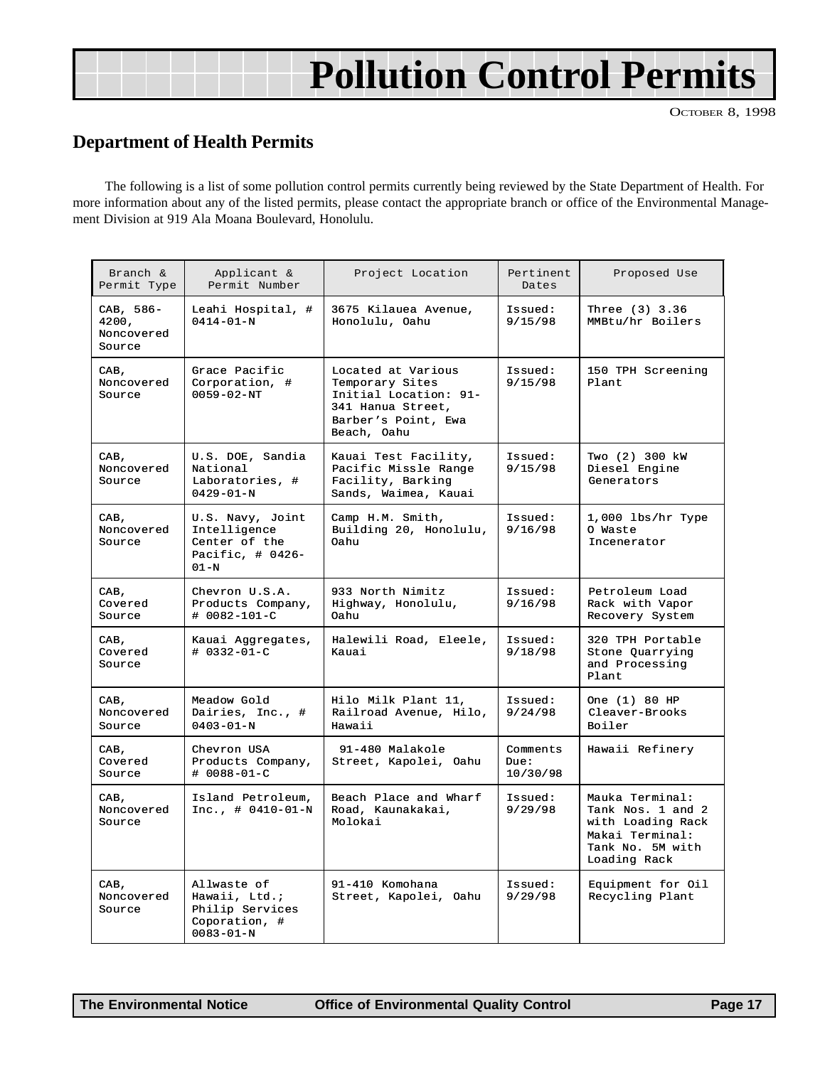## **Pollution Control Permits**

OCTOBER 8, 1998

### <span id="page-16-0"></span>**Department of Health Permits**

The following is a list of some pollution control permits currently being reviewed by the State Department of Health. For more information about any of the listed permits, please contact the appropriate branch or office of the Environmental Management Division at 919 Ala Moana Boulevard, Honolulu.

| Branch &<br>Permit Type                    | Applicant &<br>Permit Number                                                        | Project Location                                                                                                          | Pertinent<br>Dates           | Proposed Use                                                                                                     |
|--------------------------------------------|-------------------------------------------------------------------------------------|---------------------------------------------------------------------------------------------------------------------------|------------------------------|------------------------------------------------------------------------------------------------------------------|
| CAB, 586-<br>4200,<br>Noncovered<br>Source | Leahi Hospital, #<br>$0414 - 01 - N$                                                | 3675 Kilauea Avenue,<br>Honolulu, Oahu                                                                                    | Issued:<br>9/15/98           | Three (3) 3.36<br>MMBtu/hr Boilers                                                                               |
| CAB,<br>Noncovered<br>Source               | Grace Pacific<br>Corporation, #<br>$0059 - 02 - NT$                                 | Located at Various<br>Temporary Sites<br>Initial Location: 91-<br>341 Hanua Street,<br>Barber's Point, Ewa<br>Beach, Oahu | Issued:<br>9/15/98           | 150 TPH Screening<br>Plant                                                                                       |
| CAB,<br>Noncovered<br>Source               | U.S. DOE, Sandia<br>National<br>Laboratories, #<br>$0429 - 01 - N$                  | Kauai Test Facility,<br>Pacific Missle Range<br>Facility, Barking<br>Sands, Waimea, Kauai                                 | Issued:<br>9/15/98           | Two (2) 300 kW<br>Diesel Engine<br>Generators                                                                    |
| CAB,<br>Noncovered<br>Source               | U.S. Navy, Joint<br>Intelligence<br>Center of the<br>Pacific, $\#$ 0426-<br>$01-N$  | Camp H.M. Smith,<br>Building 20, Honolulu,<br>0ahu                                                                        | Issued:<br>9/16/98           | $1,000$ lbs/hr Type<br>O Waste<br>Incenerator                                                                    |
| CAB,<br>Covered<br>Source                  | Chevron U.S.A.<br>Products Company,<br># 0082-101-C                                 | 933 North Nimitz<br>Highway, Honolulu,<br>0ahu                                                                            | Issued:<br>9/16/98           | Petroleum Load<br>Rack with Vapor<br>Recovery System                                                             |
| CAB,<br>Covered<br>Source                  | Kauai Aggregates,<br>$# 0332 - 01 - C$                                              | Halewili Road, Eleele,<br>Kauai                                                                                           | Issued:<br>9/18/98           | 320 TPH Portable<br>Stone Quarrying<br>and Processing<br>Plant.                                                  |
| CAB,<br>Noncovered<br>Source               | Meadow Gold<br>Dairies, Inc., #<br>$0403 - 01 - N$                                  | Hilo Milk Plant 11,<br>Railroad Avenue, Hilo,<br>Hawaii                                                                   | Issued:<br>9/24/98           | One (1) 80 HP<br>Cleaver-Brooks<br>Boiler                                                                        |
| CAB,<br>Covered<br>Source                  | Chevron USA<br>Products Company,<br>$# 0088 - 01 - C$                               | 91-480 Malakole<br>Street, Kapolei, Oahu                                                                                  | Comments<br>Due:<br>10/30/98 | Hawaii Refinery                                                                                                  |
| CAB,<br>Noncovered<br>Source               | Island Petroleum,<br>$Inc. , # 0410-01-N$                                           | Beach Place and Wharf<br>Road, Kaunakakai,<br>Molokai                                                                     | Issued:<br>9/29/98           | Mauka Terminal:<br>Tank Nos. 1 and 2<br>with Loading Rack<br>Makai Terminal:<br>Tank No. 5M with<br>Loading Rack |
| CAB,<br>Noncovered<br>Source               | Allwaste of<br>Hawaii, Ltd.;<br>Philip Services<br>Coporation, #<br>$0083 - 01 - N$ | 91-410 Komohana<br>Street, Kapolei, Oahu                                                                                  | Issued:<br>9/29/98           | Equipment for Oil<br>Recycling Plant                                                                             |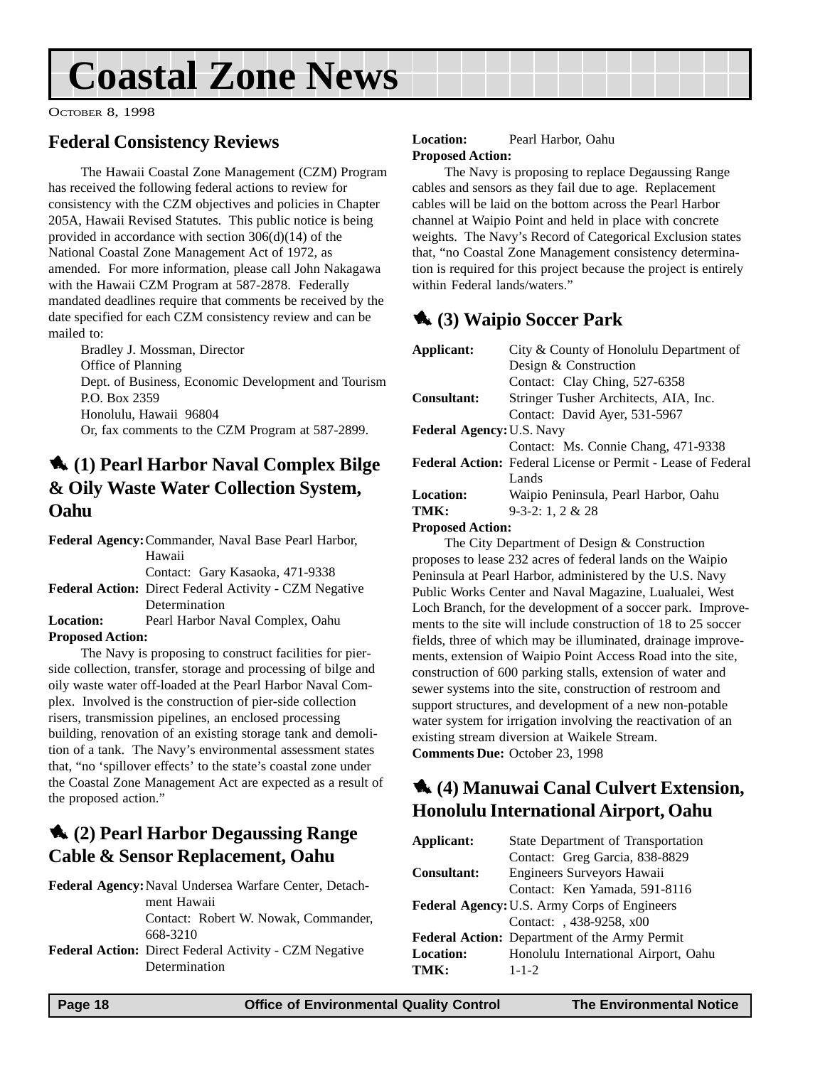## <span id="page-17-0"></span>**Coastal Zone News**

OCTOBER 8, 1998

### **Federal Consistency Reviews**

The Hawaii Coastal Zone Management (CZM) Program has received the following federal actions to review for consistency with the CZM objectives and policies in Chapter 205A, Hawaii Revised Statutes. This public notice is being provided in accordance with section 306(d)(14) of the National Coastal Zone Management Act of 1972, as amended. For more information, please call John Nakagawa with the Hawaii CZM Program at 587-2878. Federally mandated deadlines require that comments be received by the date specified for each CZM consistency review and can be mailed to:

Bradley J. Mossman, Director Office of Planning Dept. of Business, Economic Development and Tourism P.O. Box 2359 Honolulu, Hawaii 96804 Or, fax comments to the CZM Program at 587-2899.

### 1 **(1) Pearl Harbor Naval Complex Bilge & Oily Waste Water Collection System, Oahu**

**Federal Agency:**Commander, Naval Base Pearl Harbor, Hawaii

Contact: Gary Kasaoka, 471-9338

- **Federal Action:** Direct Federal Activity CZM Negative Determination
- **Location:** Pearl Harbor Naval Complex, Oahu **Proposed Action:**

The Navy is proposing to construct facilities for pierside collection, transfer, storage and processing of bilge and oily waste water off-loaded at the Pearl Harbor Naval Complex. Involved is the construction of pier-side collection risers, transmission pipelines, an enclosed processing building, renovation of an existing storage tank and demolition of a tank. The Navy's environmental assessment states that, "no 'spillover effects' to the state's coastal zone under the Coastal Zone Management Act are expected as a result of the proposed action."

## 1 **(2) Pearl Harbor Degaussing Range Cable & Sensor Replacement, Oahu**

| <b>Federal Agency:</b> Naval Undersea Warfare Center, Detach- |
|---------------------------------------------------------------|
| ment Hawaii                                                   |
| Contact: Robert W. Nowak, Commander,                          |
| 668-3210                                                      |
| <b>Federal Action:</b> Direct Federal Activity - CZM Negative |
| Determination                                                 |

#### **Location:** Pearl Harbor, Oahu **Proposed Action:**

The Navy is proposing to replace Degaussing Range cables and sensors as they fail due to age. Replacement cables will be laid on the bottom across the Pearl Harbor channel at Waipio Point and held in place with concrete weights. The Navy's Record of Categorical Exclusion states that, "no Coastal Zone Management consistency determination is required for this project because the project is entirely within Federal lands/waters."

## 1 **(3) Waipio Soccer Park**

| Applicant:                       | City & County of Honolulu Department of                             |
|----------------------------------|---------------------------------------------------------------------|
|                                  | Design & Construction                                               |
|                                  | Contact: Clay Ching, 527-6358                                       |
| <b>Consultant:</b>               | Stringer Tusher Architects, AIA, Inc.                               |
|                                  | Contact: David Ayer, 531-5967                                       |
| <b>Federal Agency: U.S. Navy</b> |                                                                     |
|                                  | Contact: Ms. Connie Chang, 471-9338                                 |
|                                  | <b>Federal Action:</b> Federal License or Permit - Lease of Federal |
|                                  | Lands                                                               |
| <b>Location:</b>                 | Waipio Peninsula, Pearl Harbor, Oahu                                |
| TMK:                             | $9-3-2:1,2 \& 28$                                                   |

#### **Proposed Action:**

The City Department of Design & Construction proposes to lease 232 acres of federal lands on the Waipio Peninsula at Pearl Harbor, administered by the U.S. Navy Public Works Center and Naval Magazine, Lualualei, West Loch Branch, for the development of a soccer park. Improvements to the site will include construction of 18 to 25 soccer fields, three of which may be illuminated, drainage improvements, extension of Waipio Point Access Road into the site, construction of 600 parking stalls, extension of water and sewer systems into the site, construction of restroom and support structures, and development of a new non-potable water system for irrigation involving the reactivation of an existing stream diversion at Waikele Stream. **Comments Due:** October 23, 1998

## 1 **(4) Manuwai Canal Culvert Extension, Honolulu International Airport, Oahu**

| Applicant:         | State Department of Transportation                  |  |
|--------------------|-----------------------------------------------------|--|
|                    | Contact: Greg Garcia, 838-8829                      |  |
| <b>Consultant:</b> | Engineers Surveyors Hawaii                          |  |
|                    | Contact: Ken Yamada, 591-8116                       |  |
|                    | <b>Federal Agency: U.S. Army Corps of Engineers</b> |  |
|                    | Contact: , 438-9258, x00                            |  |
|                    | Federal Action: Department of the Army Permit       |  |
| <b>Location:</b>   | Honolulu International Airport, Oahu                |  |
| TMK:               | $1 - 1 - 2$                                         |  |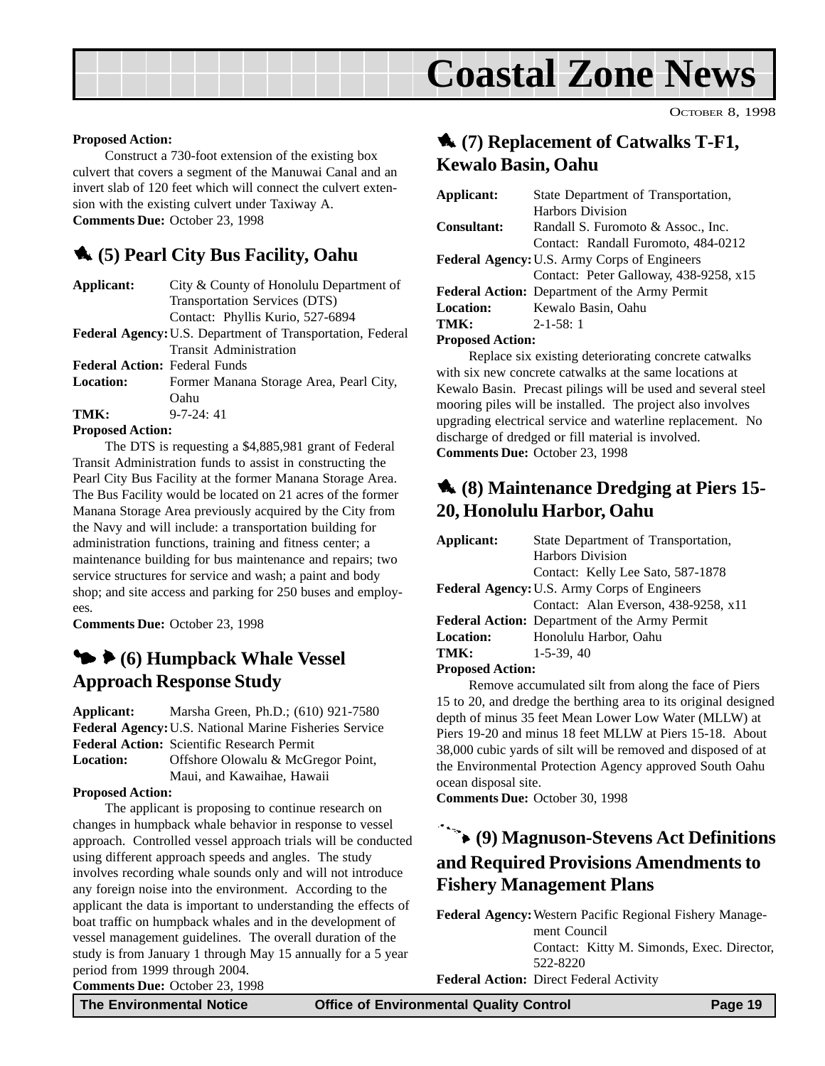## **Coastal Zone News**

OCTOBER 8, 1998

#### <span id="page-18-0"></span>**Proposed Action:**

Construct a 730-foot extension of the existing box culvert that covers a segment of the Manuwai Canal and an invert slab of 120 feet which will connect the culvert extension with the existing culvert under Taxiway A. **Comments Due:** October 23, 1998

#### 1 **(5) Pearl City Bus Facility, Oahu**

| Applicant:                           | City & County of Honolulu Department of                           |
|--------------------------------------|-------------------------------------------------------------------|
|                                      | Transportation Services (DTS)                                     |
|                                      | Contact: Phyllis Kurio, 527-6894                                  |
|                                      | <b>Federal Agency: U.S. Department of Transportation, Federal</b> |
|                                      | <b>Transit Administration</b>                                     |
| <b>Federal Action: Federal Funds</b> |                                                                   |
| <b>Location:</b>                     | Former Manana Storage Area, Pearl City,                           |
|                                      | Oahu                                                              |
| TMK:                                 | $9 - 7 - 24:41$                                                   |
| <b>Proposed Action:</b>              |                                                                   |
|                                      | The DTS is requesting a \$4,885,981 grant of Federal              |

Transit Administration funds to assist in constructing the Pearl City Bus Facility at the former Manana Storage Area. The Bus Facility would be located on 21 acres of the former Manana Storage Area previously acquired by the City from the Navy and will include: a transportation building for administration functions, training and fitness center; a maintenance building for bus maintenance and repairs; two service structures for service and wash; a paint and body shop; and site access and parking for 250 buses and employees.

**Comments Due:** October 23, 1998

#### $\blacktriangleright$  **6** (6) Humpback Whale Vessel **Approach Response Study**

**Applicant:** Marsha Green, Ph.D.; (610) 921-7580 **Federal Agency:**U.S. National Marine Fisheries Service **Federal Action:** Scientific Research Permit Location: Offshore Olowalu & McGregor Point, Maui, and Kawaihae, Hawaii

#### **Proposed Action:**

The applicant is proposing to continue research on changes in humpback whale behavior in response to vessel approach. Controlled vessel approach trials will be conducted using different approach speeds and angles. The study involves recording whale sounds only and will not introduce any foreign noise into the environment. According to the applicant the data is important to understanding the effects of boat traffic on humpback whales and in the development of vessel management guidelines. The overall duration of the study is from January 1 through May 15 annually for a 5 year period from 1999 through 2004.

1 **(7) Replacement of Catwalks T-F1, Kewalo Basin, Oahu**

| Applicant:                                          | State Department of Transportation,           |  |
|-----------------------------------------------------|-----------------------------------------------|--|
|                                                     | Harbors Division                              |  |
| <b>Consultant:</b>                                  | Randall S. Furomoto & Assoc., Inc.            |  |
|                                                     | Contact: Randall Furomoto, 484-0212           |  |
| <b>Federal Agency: U.S. Army Corps of Engineers</b> |                                               |  |
|                                                     | Contact: Peter Galloway, 438-9258, x15        |  |
|                                                     | Federal Action: Department of the Army Permit |  |
| <b>Location:</b>                                    | Kewalo Basin, Oahu                            |  |
| TMK:                                                | $2 - 1 - 58$ : 1                              |  |
| <b>Proposed Action:</b>                             |                                               |  |

Replace six existing deteriorating concrete catwalks with six new concrete catwalks at the same locations at Kewalo Basin. Precast pilings will be used and several steel mooring piles will be installed. The project also involves upgrading electrical service and waterline replacement. No

discharge of dredged or fill material is involved.

**Comments Due:** October 23, 1998

## 1 **(8) Maintenance Dredging at Piers 15- 20, Honolulu Harbor, Oahu**

| Applicant:                                          | State Department of Transportation,           |  |
|-----------------------------------------------------|-----------------------------------------------|--|
|                                                     | <b>Harbors Division</b>                       |  |
|                                                     | Contact: Kelly Lee Sato, 587-1878             |  |
| <b>Federal Agency: U.S. Army Corps of Engineers</b> |                                               |  |
|                                                     | Contact: Alan Everson, 438-9258, x11          |  |
|                                                     | Federal Action: Department of the Army Permit |  |
| <b>Location:</b>                                    | Honolulu Harbor, Oahu                         |  |
| TMK:                                                | $1-5-39, 40$                                  |  |

#### **Proposed Action:**

Remove accumulated silt from along the face of Piers 15 to 20, and dredge the berthing area to its original designed depth of minus 35 feet Mean Lower Low Water (MLLW) at Piers 19-20 and minus 18 feet MLLW at Piers 15-18. About 38,000 cubic yards of silt will be removed and disposed of at the Environmental Protection Agency approved South Oahu ocean disposal site.

**Comments Due:** October 30, 1998

## 9 **(9) Magnuson-Stevens Act Definitions and Required Provisions Amendments to Fishery Management Plans**

**Federal Agency:**Western Pacific Regional Fishery Management Council Contact: Kitty M. Simonds, Exec. Director, 522-8220 **Federal Action:** Direct Federal Activity

**Comments Due:** October 23, 1998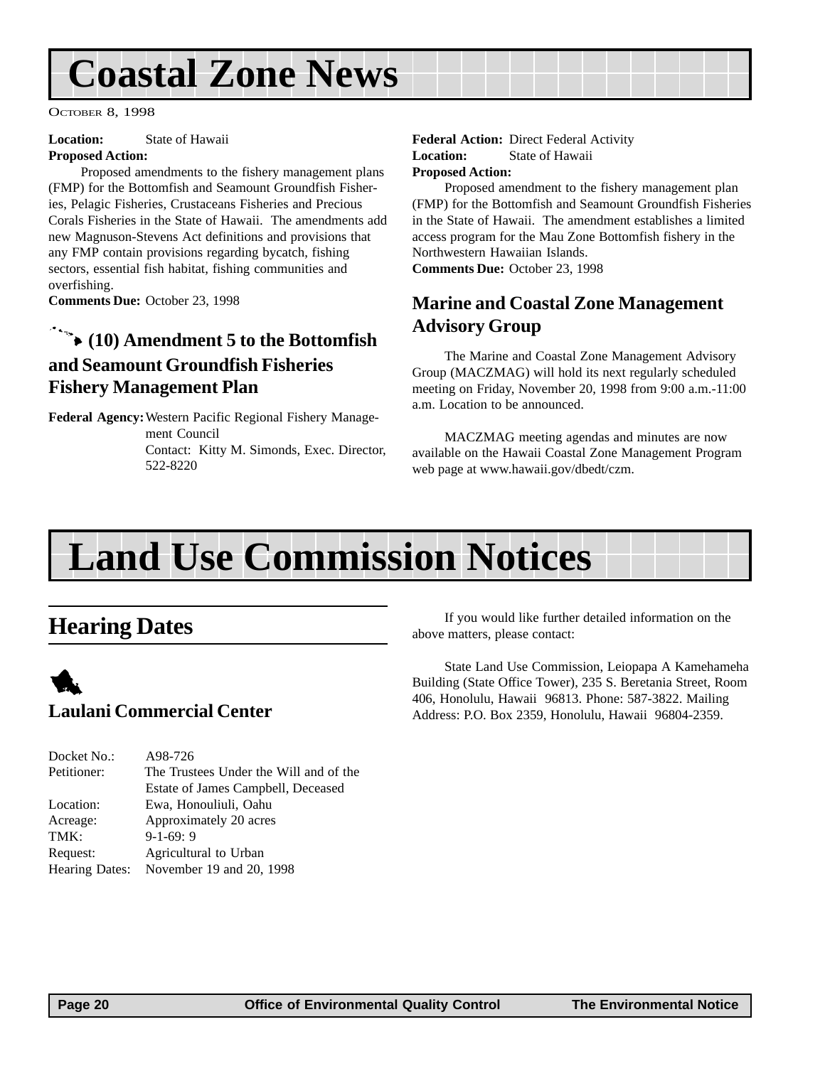## <span id="page-19-0"></span>**Coastal Zone News**

OCTOBER 8, 1998

**Location:** State of Hawaii

#### **Proposed Action:**

Proposed amendments to the fishery management plans (FMP) for the Bottomfish and Seamount Groundfish Fisheries, Pelagic Fisheries, Crustaceans Fisheries and Precious Corals Fisheries in the State of Hawaii. The amendments add new Magnuson-Stevens Act definitions and provisions that any FMP contain provisions regarding bycatch, fishing sectors, essential fish habitat, fishing communities and overfishing.

**Comments Due:** October 23, 1998

## 9 **(10) Amendment 5 to the Bottomfish and Seamount Groundfish Fisheries Fishery Management Plan**

**Federal Agency:**Western Pacific Regional Fishery Management Council Contact: Kitty M. Simonds, Exec. Director, 522-8220

**Federal Action:** Direct Federal Activity **Location:** State of Hawaii **Proposed Action:**

Proposed amendment to the fishery management plan (FMP) for the Bottomfish and Seamount Groundfish Fisheries in the State of Hawaii. The amendment establishes a limited access program for the Mau Zone Bottomfish fishery in the Northwestern Hawaiian Islands. **Comments Due:** October 23, 1998

### **Marine and Coastal Zone Management Advisory Group**

The Marine and Coastal Zone Management Advisory Group (MACZMAG) will hold its next regularly scheduled meeting on Friday, November 20, 1998 from 9:00 a.m.-11:00 a.m. Location to be announced.

MACZMAG meeting agendas and minutes are now available on the Hawaii Coastal Zone Management Program web page at www.hawaii.gov/dbedt/czm.

## **Land Use Commission Notices**

## **Hearing Dates**



| Docket No.: | A98-726                                 |
|-------------|-----------------------------------------|
| Petitioner: | The Trustees Under the Will and of the  |
|             | Estate of James Campbell, Deceased      |
| Location:   | Ewa, Honouliuli, Oahu                   |
| Acreage:    | Approximately 20 acres                  |
| TMK:        | $9-1-69:9$                              |
| Request:    | Agricultural to Urban                   |
|             | Hearing Dates: November 19 and 20, 1998 |
|             |                                         |

If you would like further detailed information on the above matters, please contact:

State Land Use Commission, Leiopapa A Kamehameha Building (State Office Tower), 235 S. Beretania Street, Room 406, Honolulu, Hawaii 96813. Phone: 587-3822. Mailing Address: P.O. Box 2359, Honolulu, Hawaii 96804-2359.